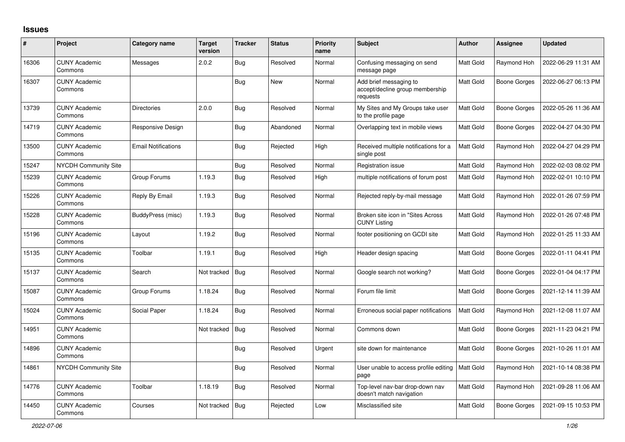## **Issues**

| $\sharp$ | Project                         | Category name              | <b>Target</b><br>version | <b>Tracker</b> | <b>Status</b> | <b>Priority</b><br>name | <b>Subject</b>                                                        | <b>Author</b> | <b>Assignee</b> | <b>Updated</b>      |
|----------|---------------------------------|----------------------------|--------------------------|----------------|---------------|-------------------------|-----------------------------------------------------------------------|---------------|-----------------|---------------------|
| 16306    | <b>CUNY Academic</b><br>Commons | Messages                   | 2.0.2                    | <b>Bug</b>     | Resolved      | Normal                  | Confusing messaging on send<br>message page                           | Matt Gold     | Raymond Hoh     | 2022-06-29 11:31 AM |
| 16307    | <b>CUNY Academic</b><br>Commons |                            |                          | <b>Bug</b>     | <b>New</b>    | Normal                  | Add brief messaging to<br>accept/decline group membership<br>requests | Matt Gold     | Boone Gorges    | 2022-06-27 06:13 PM |
| 13739    | <b>CUNY Academic</b><br>Commons | Directories                | 2.0.0                    | <b>Bug</b>     | Resolved      | Normal                  | My Sites and My Groups take user<br>to the profile page               | Matt Gold     | Boone Gorges    | 2022-05-26 11:36 AM |
| 14719    | <b>CUNY Academic</b><br>Commons | Responsive Design          |                          | Bug            | Abandoned     | Normal                  | Overlapping text in mobile views                                      | Matt Gold     | Boone Gorges    | 2022-04-27 04:30 PM |
| 13500    | <b>CUNY Academic</b><br>Commons | <b>Email Notifications</b> |                          | <b>Bug</b>     | Rejected      | High                    | Received multiple notifications for a<br>single post                  | Matt Gold     | Raymond Hoh     | 2022-04-27 04:29 PM |
| 15247    | <b>NYCDH Community Site</b>     |                            |                          | <b>Bug</b>     | Resolved      | Normal                  | Registration issue                                                    | Matt Gold     | Raymond Hoh     | 2022-02-03 08:02 PM |
| 15239    | <b>CUNY Academic</b><br>Commons | Group Forums               | 1.19.3                   | Bug            | Resolved      | High                    | multiple notifications of forum post                                  | Matt Gold     | Raymond Hoh     | 2022-02-01 10:10 PM |
| 15226    | <b>CUNY Academic</b><br>Commons | Reply By Email             | 1.19.3                   | <b>Bug</b>     | Resolved      | Normal                  | Rejected reply-by-mail message                                        | Matt Gold     | Raymond Hoh     | 2022-01-26 07:59 PM |
| 15228    | <b>CUNY Academic</b><br>Commons | BuddyPress (misc)          | 1.19.3                   | Bug            | Resolved      | Normal                  | Broken site icon in "Sites Across<br><b>CUNY Listing</b>              | Matt Gold     | Raymond Hoh     | 2022-01-26 07:48 PM |
| 15196    | <b>CUNY Academic</b><br>Commons | Layout                     | 1.19.2                   | <b>Bug</b>     | Resolved      | Normal                  | footer positioning on GCDI site                                       | Matt Gold     | Raymond Hoh     | 2022-01-25 11:33 AM |
| 15135    | <b>CUNY Academic</b><br>Commons | Toolbar                    | 1.19.1                   | <b>Bug</b>     | Resolved      | High                    | Header design spacing                                                 | Matt Gold     | Boone Gorges    | 2022-01-11 04:41 PM |
| 15137    | <b>CUNY Academic</b><br>Commons | Search                     | Not tracked              | Bug            | Resolved      | Normal                  | Google search not working?                                            | Matt Gold     | Boone Gorges    | 2022-01-04 04:17 PM |
| 15087    | <b>CUNY Academic</b><br>Commons | Group Forums               | 1.18.24                  | Bug            | Resolved      | Normal                  | Forum file limit                                                      | Matt Gold     | Boone Gorges    | 2021-12-14 11:39 AM |
| 15024    | <b>CUNY Academic</b><br>Commons | Social Paper               | 1.18.24                  | <b>Bug</b>     | Resolved      | Normal                  | Erroneous social paper notifications                                  | Matt Gold     | Raymond Hoh     | 2021-12-08 11:07 AM |
| 14951    | <b>CUNY Academic</b><br>Commons |                            | Not tracked              | Bug            | Resolved      | Normal                  | Commons down                                                          | Matt Gold     | Boone Gorges    | 2021-11-23 04:21 PM |
| 14896    | <b>CUNY Academic</b><br>Commons |                            |                          | <b>Bug</b>     | Resolved      | Urgent                  | site down for maintenance                                             | Matt Gold     | Boone Gorges    | 2021-10-26 11:01 AM |
| 14861    | <b>NYCDH Community Site</b>     |                            |                          | Bug            | Resolved      | Normal                  | User unable to access profile editing<br>page                         | Matt Gold     | Raymond Hoh     | 2021-10-14 08:38 PM |
| 14776    | <b>CUNY Academic</b><br>Commons | Toolbar                    | 1.18.19                  | <b>Bug</b>     | Resolved      | Normal                  | Top-level nav-bar drop-down nav<br>doesn't match navigation           | Matt Gold     | Raymond Hoh     | 2021-09-28 11:06 AM |
| 14450    | <b>CUNY Academic</b><br>Commons | Courses                    | Not tracked              | Bug            | Rejected      | Low                     | Misclassified site                                                    | Matt Gold     | Boone Gorges    | 2021-09-15 10:53 PM |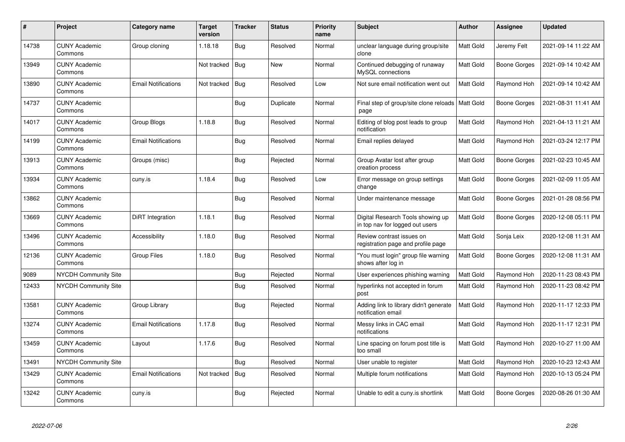| $\pmb{\#}$ | Project                         | Category name              | <b>Target</b><br>version | <b>Tracker</b> | <b>Status</b> | <b>Priority</b><br>name | <b>Subject</b>                                                       | <b>Author</b>    | Assignee     | <b>Updated</b>      |
|------------|---------------------------------|----------------------------|--------------------------|----------------|---------------|-------------------------|----------------------------------------------------------------------|------------------|--------------|---------------------|
| 14738      | <b>CUNY Academic</b><br>Commons | Group cloning              | 1.18.18                  | <b>Bug</b>     | Resolved      | Normal                  | unclear language during group/site<br>clone                          | <b>Matt Gold</b> | Jeremy Felt  | 2021-09-14 11:22 AM |
| 13949      | <b>CUNY Academic</b><br>Commons |                            | Not tracked              | Bug            | <b>New</b>    | Normal                  | Continued debugging of runaway<br>MySQL connections                  | Matt Gold        | Boone Gorges | 2021-09-14 10:42 AM |
| 13890      | <b>CUNY Academic</b><br>Commons | <b>Email Notifications</b> | Not tracked              | Bug            | Resolved      | Low                     | Not sure email notification went out                                 | <b>Matt Gold</b> | Raymond Hoh  | 2021-09-14 10:42 AM |
| 14737      | <b>CUNY Academic</b><br>Commons |                            |                          | <b>Bug</b>     | Duplicate     | Normal                  | Final step of group/site clone reloads<br>page                       | Matt Gold        | Boone Gorges | 2021-08-31 11:41 AM |
| 14017      | <b>CUNY Academic</b><br>Commons | Group Blogs                | 1.18.8                   | <b>Bug</b>     | Resolved      | Normal                  | Editing of blog post leads to group<br>notification                  | Matt Gold        | Raymond Hoh  | 2021-04-13 11:21 AM |
| 14199      | <b>CUNY Academic</b><br>Commons | <b>Email Notifications</b> |                          | <b>Bug</b>     | Resolved      | Normal                  | Email replies delayed                                                | Matt Gold        | Raymond Hoh  | 2021-03-24 12:17 PM |
| 13913      | <b>CUNY Academic</b><br>Commons | Groups (misc)              |                          | <b>Bug</b>     | Rejected      | Normal                  | Group Avatar lost after group<br>creation process                    | Matt Gold        | Boone Gorges | 2021-02-23 10:45 AM |
| 13934      | <b>CUNY Academic</b><br>Commons | cuny.is                    | 1.18.4                   | <b>Bug</b>     | Resolved      | Low                     | Error message on group settings<br>change                            | Matt Gold        | Boone Gorges | 2021-02-09 11:05 AM |
| 13862      | <b>CUNY Academic</b><br>Commons |                            |                          | <b>Bug</b>     | Resolved      | Normal                  | Under maintenance message                                            | Matt Gold        | Boone Gorges | 2021-01-28 08:56 PM |
| 13669      | <b>CUNY Academic</b><br>Commons | DiRT Integration           | 1.18.1                   | <b>Bug</b>     | Resolved      | Normal                  | Digital Research Tools showing up<br>in top nav for logged out users | Matt Gold        | Boone Gorges | 2020-12-08 05:11 PM |
| 13496      | <b>CUNY Academic</b><br>Commons | Accessibility              | 1.18.0                   | <b>Bug</b>     | Resolved      | Normal                  | Review contrast issues on<br>registration page and profile page      | Matt Gold        | Sonja Leix   | 2020-12-08 11:31 AM |
| 12136      | <b>CUNY Academic</b><br>Commons | <b>Group Files</b>         | 1.18.0                   | Bug            | Resolved      | Normal                  | 'You must login" group file warning<br>shows after log in            | Matt Gold        | Boone Gorges | 2020-12-08 11:31 AM |
| 9089       | <b>NYCDH Community Site</b>     |                            |                          | Bug            | Rejected      | Normal                  | User experiences phishing warning                                    | Matt Gold        | Raymond Hoh  | 2020-11-23 08:43 PM |
| 12433      | NYCDH Community Site            |                            |                          | Bug            | Resolved      | Normal                  | hyperlinks not accepted in forum<br>post                             | Matt Gold        | Raymond Hoh  | 2020-11-23 08:42 PM |
| 13581      | <b>CUNY Academic</b><br>Commons | Group Library              |                          | Bug            | Rejected      | Normal                  | Adding link to library didn't generate<br>notification email         | <b>Matt Gold</b> | Raymond Hoh  | 2020-11-17 12:33 PM |
| 13274      | <b>CUNY Academic</b><br>Commons | <b>Email Notifications</b> | 1.17.8                   | <b>Bug</b>     | Resolved      | Normal                  | Messy links in CAC email<br>notifications                            | Matt Gold        | Raymond Hoh  | 2020-11-17 12:31 PM |
| 13459      | <b>CUNY Academic</b><br>Commons | Layout                     | 1.17.6                   | <b>Bug</b>     | Resolved      | Normal                  | Line spacing on forum post title is<br>too small                     | Matt Gold        | Raymond Hoh  | 2020-10-27 11:00 AM |
| 13491      | <b>NYCDH Community Site</b>     |                            |                          | <b>Bug</b>     | Resolved      | Normal                  | User unable to register                                              | <b>Matt Gold</b> | Raymond Hoh  | 2020-10-23 12:43 AM |
| 13429      | <b>CUNY Academic</b><br>Commons | <b>Email Notifications</b> | Not tracked              | Bug            | Resolved      | Normal                  | Multiple forum notifications                                         | Matt Gold        | Raymond Hoh  | 2020-10-13 05:24 PM |
| 13242      | <b>CUNY Academic</b><br>Commons | cuny.is                    |                          | Bug            | Rejected      | Normal                  | Unable to edit a cuny is shortlink                                   | <b>Matt Gold</b> | Boone Gorges | 2020-08-26 01:30 AM |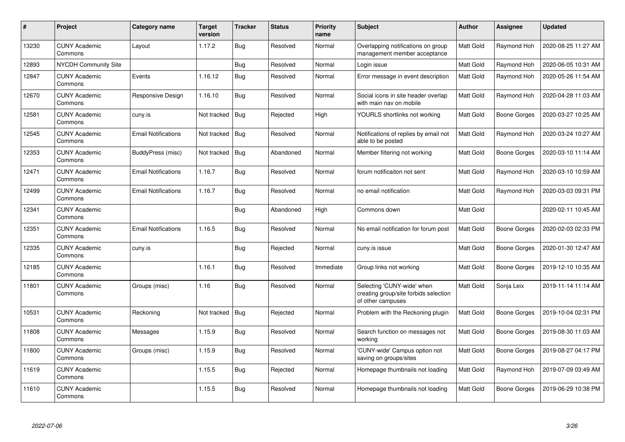| $\pmb{\#}$ | Project                         | Category name              | Target<br>version | <b>Tracker</b> | <b>Status</b> | <b>Priority</b><br>name | <b>Subject</b>                                                                           | <b>Author</b> | Assignee            | <b>Updated</b>      |
|------------|---------------------------------|----------------------------|-------------------|----------------|---------------|-------------------------|------------------------------------------------------------------------------------------|---------------|---------------------|---------------------|
| 13230      | <b>CUNY Academic</b><br>Commons | Layout                     | 1.17.2            | Bug            | Resolved      | Normal                  | Overlapping notifications on group<br>management member acceptance                       | Matt Gold     | Raymond Hoh         | 2020-08-25 11:27 AM |
| 12893      | <b>NYCDH Community Site</b>     |                            |                   | Bug            | Resolved      | Normal                  | Login issue                                                                              | Matt Gold     | Raymond Hoh         | 2020-06-05 10:31 AM |
| 12847      | <b>CUNY Academic</b><br>Commons | Events                     | 1.16.12           | <b>Bug</b>     | Resolved      | Normal                  | Error message in event description                                                       | Matt Gold     | Raymond Hoh         | 2020-05-26 11:54 AM |
| 12670      | <b>CUNY Academic</b><br>Commons | Responsive Design          | 1.16.10           | Bug            | Resolved      | Normal                  | Social icons in site header overlap<br>with main nav on mobile                           | Matt Gold     | Raymond Hoh         | 2020-04-28 11:03 AM |
| 12581      | <b>CUNY Academic</b><br>Commons | cuny.is                    | Not tracked       | Bug            | Rejected      | High                    | YOURLS shortlinks not working                                                            | Matt Gold     | <b>Boone Gorges</b> | 2020-03-27 10:25 AM |
| 12545      | <b>CUNY Academic</b><br>Commons | <b>Email Notifications</b> | Not tracked       | Bug            | Resolved      | Normal                  | Notifications of replies by email not<br>able to be posted                               | Matt Gold     | Raymond Hoh         | 2020-03-24 10:27 AM |
| 12353      | <b>CUNY Academic</b><br>Commons | BuddyPress (misc)          | Not tracked       | Bug            | Abandoned     | Normal                  | Member filtering not working                                                             | Matt Gold     | <b>Boone Gorges</b> | 2020-03-10 11:14 AM |
| 12471      | <b>CUNY Academic</b><br>Commons | <b>Email Notifications</b> | 1.16.7            | <b>Bug</b>     | Resolved      | Normal                  | forum notificaiton not sent                                                              | Matt Gold     | Raymond Hoh         | 2020-03-10 10:59 AM |
| 12499      | <b>CUNY Academic</b><br>Commons | <b>Email Notifications</b> | 1.16.7            | Bug            | Resolved      | Normal                  | no email notification                                                                    | Matt Gold     | Raymond Hoh         | 2020-03-03 09:31 PM |
| 12341      | <b>CUNY Academic</b><br>Commons |                            |                   | <b>Bug</b>     | Abandoned     | High                    | Commons down                                                                             | Matt Gold     |                     | 2020-02-11 10:45 AM |
| 12351      | <b>CUNY Academic</b><br>Commons | <b>Email Notifications</b> | 1.16.5            | <b>Bug</b>     | Resolved      | Normal                  | No email notification for forum post                                                     | Matt Gold     | Boone Gorges        | 2020-02-03 02:33 PM |
| 12335      | <b>CUNY Academic</b><br>Commons | cuny.is                    |                   | <b>Bug</b>     | Rejected      | Normal                  | cuny.is issue                                                                            | Matt Gold     | Boone Gorges        | 2020-01-30 12:47 AM |
| 12185      | <b>CUNY Academic</b><br>Commons |                            | 1.16.1            | <b>Bug</b>     | Resolved      | Immediate               | Group links not working                                                                  | Matt Gold     | <b>Boone Gorges</b> | 2019-12-10 10:35 AM |
| 11801      | <b>CUNY Academic</b><br>Commons | Groups (misc)              | 1.16              | Bug            | Resolved      | Normal                  | Selecting 'CUNY-wide' when<br>creating group/site forbids selection<br>of other campuses | Matt Gold     | Sonja Leix          | 2019-11-14 11:14 AM |
| 10531      | <b>CUNY Academic</b><br>Commons | Reckoning                  | Not tracked       | Bug            | Rejected      | Normal                  | Problem with the Reckoning plugin                                                        | Matt Gold     | <b>Boone Gorges</b> | 2019-10-04 02:31 PM |
| 11808      | <b>CUNY Academic</b><br>Commons | Messages                   | 1.15.9            | Bug            | Resolved      | Normal                  | Search function on messages not<br>working                                               | Matt Gold     | <b>Boone Gorges</b> | 2019-08-30 11:03 AM |
| 11800      | <b>CUNY Academic</b><br>Commons | Groups (misc)              | 1.15.9            | <b>Bug</b>     | Resolved      | Normal                  | 'CUNY-wide' Campus option not<br>saving on groups/sites                                  | Matt Gold     | Boone Gorges        | 2019-08-27 04:17 PM |
| 11619      | <b>CUNY Academic</b><br>Commons |                            | 1.15.5            | Bug            | Rejected      | Normal                  | Homepage thumbnails not loading                                                          | Matt Gold     | Raymond Hoh         | 2019-07-09 03:49 AM |
| 11610      | <b>CUNY Academic</b><br>Commons |                            | 1.15.5            | <b>Bug</b>     | Resolved      | Normal                  | Homepage thumbnails not loading                                                          | Matt Gold     | <b>Boone Gorges</b> | 2019-06-29 10:38 PM |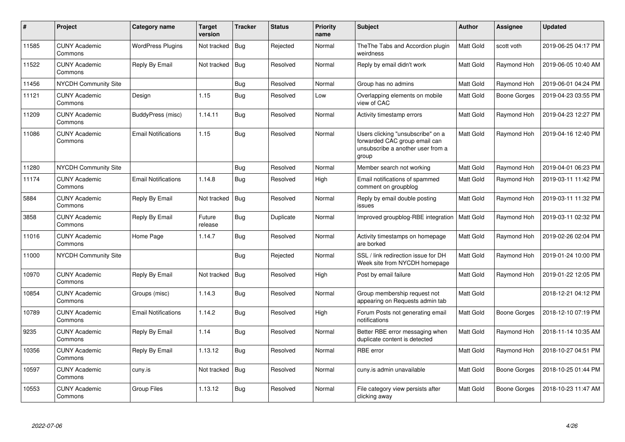| $\#$  | <b>Project</b>                  | Category name              | <b>Target</b><br>version | <b>Tracker</b> | <b>Status</b> | <b>Priority</b><br>name | <b>Subject</b>                                                                                                   | <b>Author</b>    | Assignee     | <b>Updated</b>      |
|-------|---------------------------------|----------------------------|--------------------------|----------------|---------------|-------------------------|------------------------------------------------------------------------------------------------------------------|------------------|--------------|---------------------|
| 11585 | <b>CUNY Academic</b><br>Commons | <b>WordPress Plugins</b>   | Not tracked              | Bug            | Rejected      | Normal                  | The The Tabs and Accordion plugin<br>weirdness                                                                   | <b>Matt Gold</b> | scott voth   | 2019-06-25 04:17 PM |
| 11522 | <b>CUNY Academic</b><br>Commons | Reply By Email             | Not tracked              | Bug            | Resolved      | Normal                  | Reply by email didn't work                                                                                       | <b>Matt Gold</b> | Raymond Hoh  | 2019-06-05 10:40 AM |
| 11456 | <b>NYCDH Community Site</b>     |                            |                          | Bug            | Resolved      | Normal                  | Group has no admins                                                                                              | Matt Gold        | Raymond Hoh  | 2019-06-01 04:24 PM |
| 11121 | <b>CUNY Academic</b><br>Commons | Design                     | 1.15                     | <b>Bug</b>     | Resolved      | Low                     | Overlapping elements on mobile<br>view of CAC                                                                    | <b>Matt Gold</b> | Boone Gorges | 2019-04-23 03:55 PM |
| 11209 | <b>CUNY Academic</b><br>Commons | BuddyPress (misc)          | 1.14.11                  | <b>Bug</b>     | Resolved      | Normal                  | Activity timestamp errors                                                                                        | Matt Gold        | Raymond Hoh  | 2019-04-23 12:27 PM |
| 11086 | <b>CUNY Academic</b><br>Commons | <b>Email Notifications</b> | 1.15                     | <b>Bug</b>     | Resolved      | Normal                  | Users clicking "unsubscribe" on a<br>forwarded CAC group email can<br>unsubscribe a another user from a<br>group | Matt Gold        | Raymond Hoh  | 2019-04-16 12:40 PM |
| 11280 | <b>NYCDH Community Site</b>     |                            |                          | <b>Bug</b>     | Resolved      | Normal                  | Member search not working                                                                                        | Matt Gold        | Raymond Hoh  | 2019-04-01 06:23 PM |
| 11174 | <b>CUNY Academic</b><br>Commons | <b>Email Notifications</b> | 1.14.8                   | <b>Bug</b>     | Resolved      | High                    | Email notifications of spammed<br>comment on groupblog                                                           | <b>Matt Gold</b> | Raymond Hoh  | 2019-03-11 11:42 PM |
| 5884  | <b>CUNY Academic</b><br>Commons | Reply By Email             | Not tracked              | Bug            | Resolved      | Normal                  | Reply by email double posting<br>issues                                                                          | Matt Gold        | Raymond Hoh  | 2019-03-11 11:32 PM |
| 3858  | <b>CUNY Academic</b><br>Commons | Reply By Email             | Future<br>release        | <b>Bug</b>     | Duplicate     | Normal                  | Improved groupblog-RBE integration                                                                               | <b>Matt Gold</b> | Raymond Hoh  | 2019-03-11 02:32 PM |
| 11016 | <b>CUNY Academic</b><br>Commons | Home Page                  | 1.14.7                   | Bug            | Resolved      | Normal                  | Activity timestamps on homepage<br>are borked                                                                    | <b>Matt Gold</b> | Raymond Hoh  | 2019-02-26 02:04 PM |
| 11000 | <b>NYCDH Community Site</b>     |                            |                          | <b>Bug</b>     | Rejected      | Normal                  | SSL / link redirection issue for DH<br>Week site from NYCDH homepage                                             | Matt Gold        | Raymond Hoh  | 2019-01-24 10:00 PM |
| 10970 | <b>CUNY Academic</b><br>Commons | Reply By Email             | Not tracked              | <b>Bug</b>     | Resolved      | High                    | Post by email failure                                                                                            | Matt Gold        | Raymond Hoh  | 2019-01-22 12:05 PM |
| 10854 | <b>CUNY Academic</b><br>Commons | Groups (misc)              | 1.14.3                   | <b>Bug</b>     | Resolved      | Normal                  | Group membership request not<br>appearing on Requests admin tab                                                  | Matt Gold        |              | 2018-12-21 04:12 PM |
| 10789 | <b>CUNY Academic</b><br>Commons | <b>Email Notifications</b> | 1.14.2                   | <b>Bug</b>     | Resolved      | High                    | Forum Posts not generating email<br>notifications                                                                | Matt Gold        | Boone Gorges | 2018-12-10 07:19 PM |
| 9235  | <b>CUNY Academic</b><br>Commons | Reply By Email             | 1.14                     | Bug            | Resolved      | Normal                  | Better RBE error messaging when<br>duplicate content is detected                                                 | Matt Gold        | Raymond Hoh  | 2018-11-14 10:35 AM |
| 10356 | <b>CUNY Academic</b><br>Commons | Reply By Email             | 1.13.12                  | <b>Bug</b>     | Resolved      | Normal                  | <b>RBE</b> error                                                                                                 | Matt Gold        | Raymond Hoh  | 2018-10-27 04:51 PM |
| 10597 | <b>CUNY Academic</b><br>Commons | cuny.is                    | Not tracked              | <b>Bug</b>     | Resolved      | Normal                  | cuny.is admin unavailable                                                                                        | Matt Gold        | Boone Gorges | 2018-10-25 01:44 PM |
| 10553 | <b>CUNY Academic</b><br>Commons | Group Files                | 1.13.12                  | Bug            | Resolved      | Normal                  | File category view persists after<br>clicking away                                                               | Matt Gold        | Boone Gorges | 2018-10-23 11:47 AM |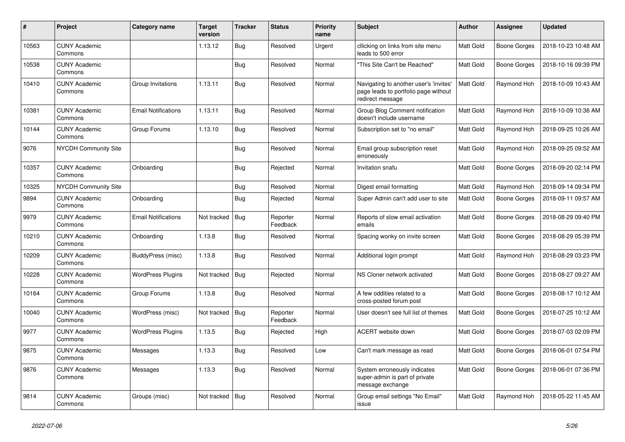| $\pmb{\#}$ | Project                         | Category name              | <b>Target</b><br>version | <b>Tracker</b> | <b>Status</b>        | <b>Priority</b><br>name | <b>Subject</b>                                                                                     | <b>Author</b>    | Assignee     | <b>Updated</b>      |
|------------|---------------------------------|----------------------------|--------------------------|----------------|----------------------|-------------------------|----------------------------------------------------------------------------------------------------|------------------|--------------|---------------------|
| 10563      | <b>CUNY Academic</b><br>Commons |                            | 1.13.12                  | Bug            | Resolved             | Urgent                  | cllicking on links from site menu<br>leads to 500 error                                            | <b>Matt Gold</b> | Boone Gorges | 2018-10-23 10:48 AM |
| 10538      | <b>CUNY Academic</b><br>Commons |                            |                          | <b>Bug</b>     | Resolved             | Normal                  | This Site Can't be Reached"                                                                        | Matt Gold        | Boone Gorges | 2018-10-16 09:39 PM |
| 10410      | <b>CUNY Academic</b><br>Commons | Group Invitations          | 1.13.11                  | Bug            | Resolved             | Normal                  | Navigating to another user's 'invites'<br>page leads to portfolio page without<br>redirect message | <b>Matt Gold</b> | Raymond Hoh  | 2018-10-09 10:43 AM |
| 10381      | <b>CUNY Academic</b><br>Commons | <b>Email Notifications</b> | 1.13.11                  | <b>Bug</b>     | Resolved             | Normal                  | Group Blog Comment notification<br>doesn't include username                                        | <b>Matt Gold</b> | Raymond Hoh  | 2018-10-09 10:36 AM |
| 10144      | <b>CUNY Academic</b><br>Commons | Group Forums               | 1.13.10                  | <b>Bug</b>     | Resolved             | Normal                  | Subscription set to "no email"                                                                     | <b>Matt Gold</b> | Raymond Hoh  | 2018-09-25 10:26 AM |
| 9076       | NYCDH Community Site            |                            |                          | <b>Bug</b>     | Resolved             | Normal                  | Email group subscription reset<br>erroneously                                                      | Matt Gold        | Raymond Hoh  | 2018-09-25 09:52 AM |
| 10357      | <b>CUNY Academic</b><br>Commons | Onboarding                 |                          | <b>Bug</b>     | Rejected             | Normal                  | Invitation snafu                                                                                   | Matt Gold        | Boone Gorges | 2018-09-20 02:14 PM |
| 10325      | NYCDH Community Site            |                            |                          | Bug            | Resolved             | Normal                  | Digest email formatting                                                                            | Matt Gold        | Raymond Hoh  | 2018-09-14 09:34 PM |
| 9894       | <b>CUNY Academic</b><br>Commons | Onboarding                 |                          | Bug            | Rejected             | Normal                  | Super Admin can't add user to site                                                                 | Matt Gold        | Boone Gorges | 2018-09-11 09:57 AM |
| 9979       | <b>CUNY Academic</b><br>Commons | <b>Email Notifications</b> | Not tracked              | Bug            | Reporter<br>Feedback | Normal                  | Reports of slow email activation<br>emails                                                         | Matt Gold        | Boone Gorges | 2018-08-29 09:40 PM |
| 10210      | <b>CUNY Academic</b><br>Commons | Onboarding                 | 1.13.8                   | <b>Bug</b>     | Resolved             | Normal                  | Spacing wonky on invite screen                                                                     | Matt Gold        | Boone Gorges | 2018-08-29 05:39 PM |
| 10209      | <b>CUNY Academic</b><br>Commons | BuddyPress (misc)          | 1.13.8                   | <b>Bug</b>     | Resolved             | Normal                  | Additional login prompt                                                                            | Matt Gold        | Raymond Hoh  | 2018-08-29 03:23 PM |
| 10228      | <b>CUNY Academic</b><br>Commons | <b>WordPress Plugins</b>   | Not tracked              | <b>Bug</b>     | Rejected             | Normal                  | NS Cloner network activated                                                                        | Matt Gold        | Boone Gorges | 2018-08-27 09:27 AM |
| 10164      | <b>CUNY Academic</b><br>Commons | Group Forums               | 1.13.8                   | <b>Bug</b>     | Resolved             | Normal                  | A few oddities related to a<br>cross-posted forum post                                             | Matt Gold        | Boone Gorges | 2018-08-17 10:12 AM |
| 10040      | <b>CUNY Academic</b><br>Commons | WordPress (misc)           | Not tracked              | Bug            | Reporter<br>Feedback | Normal                  | User doesn't see full list of themes                                                               | Matt Gold        | Boone Gorges | 2018-07-25 10:12 AM |
| 9977       | <b>CUNY Academic</b><br>Commons | <b>WordPress Plugins</b>   | 1.13.5                   | <b>Bug</b>     | Rejected             | High                    | ACERT website down                                                                                 | Matt Gold        | Boone Gorges | 2018-07-03 02:09 PM |
| 9875       | <b>CUNY Academic</b><br>Commons | Messages                   | 1.13.3                   | <b>Bug</b>     | Resolved             | Low                     | Can't mark message as read                                                                         | Matt Gold        | Boone Gorges | 2018-06-01 07:54 PM |
| 9876       | <b>CUNY Academic</b><br>Commons | Messages                   | 1.13.3                   | <b>Bug</b>     | Resolved             | Normal                  | System erroneously indicates<br>super-admin is part of private<br>message exchange                 | Matt Gold        | Boone Gorges | 2018-06-01 07:36 PM |
| 9814       | <b>CUNY Academic</b><br>Commons | Groups (misc)              | Not tracked              | Bug            | Resolved             | Normal                  | Group email settings "No Email"<br>issue                                                           | Matt Gold        | Raymond Hoh  | 2018-05-22 11:45 AM |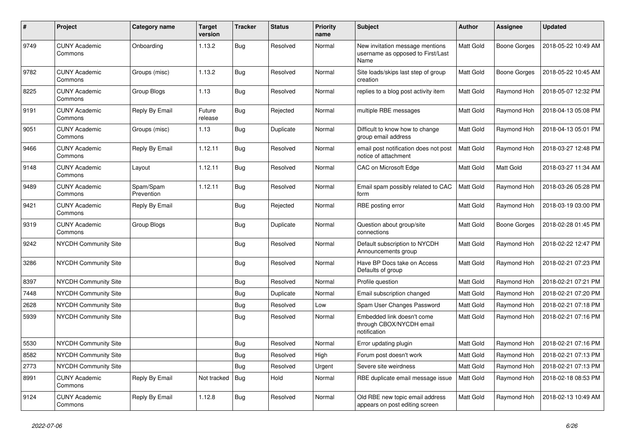| $\pmb{\sharp}$ | Project                         | Category name           | Target<br>version | <b>Tracker</b> | <b>Status</b> | <b>Priority</b><br>name | <b>Subject</b>                                                               | <b>Author</b>    | Assignee     | <b>Updated</b>      |
|----------------|---------------------------------|-------------------------|-------------------|----------------|---------------|-------------------------|------------------------------------------------------------------------------|------------------|--------------|---------------------|
| 9749           | <b>CUNY Academic</b><br>Commons | Onboarding              | 1.13.2            | <b>Bug</b>     | Resolved      | Normal                  | New invitation message mentions<br>username as opposed to First/Last<br>Name | Matt Gold        | Boone Gorges | 2018-05-22 10:49 AM |
| 9782           | <b>CUNY Academic</b><br>Commons | Groups (misc)           | 1.13.2            | <b>Bug</b>     | Resolved      | Normal                  | Site loads/skips last step of group<br>creation                              | Matt Gold        | Boone Gorges | 2018-05-22 10:45 AM |
| 8225           | <b>CUNY Academic</b><br>Commons | Group Blogs             | 1.13              | <b>Bug</b>     | Resolved      | Normal                  | replies to a blog post activity item                                         | Matt Gold        | Raymond Hoh  | 2018-05-07 12:32 PM |
| 9191           | <b>CUNY Academic</b><br>Commons | Reply By Email          | Future<br>release | Bug            | Rejected      | Normal                  | multiple RBE messages                                                        | <b>Matt Gold</b> | Raymond Hoh  | 2018-04-13 05:08 PM |
| 9051           | <b>CUNY Academic</b><br>Commons | Groups (misc)           | 1.13              | Bug            | Duplicate     | Normal                  | Difficult to know how to change<br>group email address                       | Matt Gold        | Raymond Hoh  | 2018-04-13 05:01 PM |
| 9466           | <b>CUNY Academic</b><br>Commons | Reply By Email          | 1.12.11           | <b>Bug</b>     | Resolved      | Normal                  | email post notification does not post<br>notice of attachment                | Matt Gold        | Raymond Hoh  | 2018-03-27 12:48 PM |
| 9148           | <b>CUNY Academic</b><br>Commons | Layout                  | 1.12.11           | Bug            | Resolved      | Normal                  | CAC on Microsoft Edge                                                        | Matt Gold        | Matt Gold    | 2018-03-27 11:34 AM |
| 9489           | <b>CUNY Academic</b><br>Commons | Spam/Spam<br>Prevention | 1.12.11           | <b>Bug</b>     | Resolved      | Normal                  | Email spam possibly related to CAC<br>form                                   | <b>Matt Gold</b> | Raymond Hoh  | 2018-03-26 05:28 PM |
| 9421           | <b>CUNY Academic</b><br>Commons | Reply By Email          |                   | Bug            | Rejected      | Normal                  | RBE posting error                                                            | Matt Gold        | Raymond Hoh  | 2018-03-19 03:00 PM |
| 9319           | <b>CUNY Academic</b><br>Commons | Group Blogs             |                   | <b>Bug</b>     | Duplicate     | Normal                  | Question about group/site<br>connections                                     | Matt Gold        | Boone Gorges | 2018-02-28 01:45 PM |
| 9242           | <b>NYCDH Community Site</b>     |                         |                   | <b>Bug</b>     | Resolved      | Normal                  | Default subscription to NYCDH<br>Announcements group                         | Matt Gold        | Raymond Hoh  | 2018-02-22 12:47 PM |
| 3286           | <b>NYCDH Community Site</b>     |                         |                   | <b>Bug</b>     | Resolved      | Normal                  | Have BP Docs take on Access<br>Defaults of group                             | Matt Gold        | Raymond Hoh  | 2018-02-21 07:23 PM |
| 8397           | <b>NYCDH Community Site</b>     |                         |                   | <b>Bug</b>     | Resolved      | Normal                  | Profile question                                                             | Matt Gold        | Raymond Hoh  | 2018-02-21 07:21 PM |
| 7448           | <b>NYCDH Community Site</b>     |                         |                   | <b>Bug</b>     | Duplicate     | Normal                  | Email subscription changed                                                   | Matt Gold        | Raymond Hoh  | 2018-02-21 07:20 PM |
| 2628           | <b>NYCDH Community Site</b>     |                         |                   | <b>Bug</b>     | Resolved      | Low                     | Spam User Changes Password                                                   | <b>Matt Gold</b> | Raymond Hoh  | 2018-02-21 07:18 PM |
| 5939           | <b>NYCDH Community Site</b>     |                         |                   | Bug            | Resolved      | Normal                  | Embedded link doesn't come<br>through CBOX/NYCDH email<br>notification       | Matt Gold        | Raymond Hoh  | 2018-02-21 07:16 PM |
| 5530           | NYCDH Community Site            |                         |                   | <b>Bug</b>     | Resolved      | Normal                  | Error updating plugin                                                        | Matt Gold        | Raymond Hoh  | 2018-02-21 07:16 PM |
| 8582           | <b>NYCDH Community Site</b>     |                         |                   | <b>Bug</b>     | Resolved      | High                    | Forum post doesn't work                                                      | Matt Gold        | Raymond Hoh  | 2018-02-21 07:13 PM |
| 2773           | <b>NYCDH Community Site</b>     |                         |                   | <b>Bug</b>     | Resolved      | Urgent                  | Severe site weirdness                                                        | Matt Gold        | Raymond Hoh  | 2018-02-21 07:13 PM |
| 8991           | <b>CUNY Academic</b><br>Commons | Reply By Email          | Not tracked       | <b>Bug</b>     | Hold          | Normal                  | RBE duplicate email message issue                                            | <b>Matt Gold</b> | Raymond Hoh  | 2018-02-18 08:53 PM |
| 9124           | <b>CUNY Academic</b><br>Commons | Reply By Email          | 1.12.8            | <b>Bug</b>     | Resolved      | Normal                  | Old RBE new topic email address<br>appears on post editing screen            | Matt Gold        | Raymond Hoh  | 2018-02-13 10:49 AM |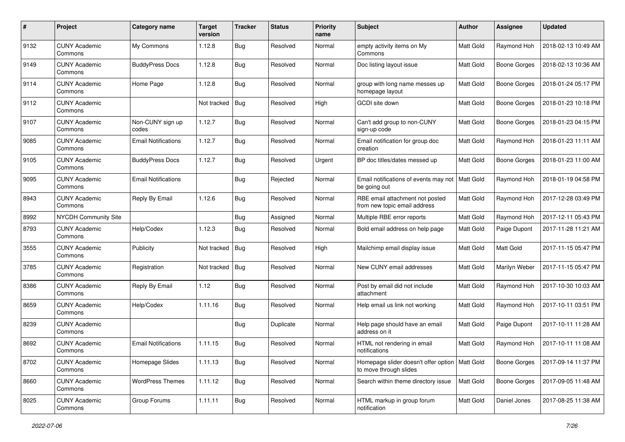| $\#$ | Project                         | Category name              | <b>Target</b><br>version | <b>Tracker</b> | <b>Status</b> | <b>Priority</b><br>name | <b>Subject</b>                                                             | Author           | Assignee            | <b>Updated</b>      |
|------|---------------------------------|----------------------------|--------------------------|----------------|---------------|-------------------------|----------------------------------------------------------------------------|------------------|---------------------|---------------------|
| 9132 | <b>CUNY Academic</b><br>Commons | My Commons                 | 1.12.8                   | Bug            | Resolved      | Normal                  | empty activity items on My<br>Commons                                      | Matt Gold        | Raymond Hoh         | 2018-02-13 10:49 AM |
| 9149 | <b>CUNY Academic</b><br>Commons | <b>BuddyPress Docs</b>     | 1.12.8                   | Bug            | Resolved      | Normal                  | Doc listing layout issue                                                   | Matt Gold        | Boone Gorges        | 2018-02-13 10:36 AM |
| 9114 | <b>CUNY Academic</b><br>Commons | Home Page                  | 1.12.8                   | <b>Bug</b>     | Resolved      | Normal                  | group with long name messes up<br>homepage layout                          | Matt Gold        | Boone Gorges        | 2018-01-24 05:17 PM |
| 9112 | <b>CUNY Academic</b><br>Commons |                            | Not tracked              | <b>Bug</b>     | Resolved      | High                    | <b>GCDI</b> site down                                                      | Matt Gold        | <b>Boone Gorges</b> | 2018-01-23 10:18 PM |
| 9107 | <b>CUNY Academic</b><br>Commons | Non-CUNY sign up<br>codes  | 1.12.7                   | <b>Bug</b>     | Resolved      | Normal                  | Can't add group to non-CUNY<br>sign-up code                                | Matt Gold        | Boone Gorges        | 2018-01-23 04:15 PM |
| 9085 | <b>CUNY Academic</b><br>Commons | <b>Email Notifications</b> | 1.12.7                   | Bug            | Resolved      | Normal                  | Email notification for group doc<br>creation                               | Matt Gold        | Raymond Hoh         | 2018-01-23 11:11 AM |
| 9105 | <b>CUNY Academic</b><br>Commons | <b>BuddyPress Docs</b>     | 1.12.7                   | Bug            | Resolved      | Urgent                  | BP doc titles/dates messed up                                              | Matt Gold        | Boone Gorges        | 2018-01-23 11:00 AM |
| 9095 | <b>CUNY Academic</b><br>Commons | <b>Email Notifications</b> |                          | Bug            | Rejected      | Normal                  | Email notifications of events may not<br>be going out                      | Matt Gold        | Raymond Hoh         | 2018-01-19 04:58 PM |
| 8943 | <b>CUNY Academic</b><br>Commons | Reply By Email             | 1.12.6                   | Bug            | Resolved      | Normal                  | RBE email attachment not posted<br>from new topic email address            | Matt Gold        | Raymond Hoh         | 2017-12-28 03:49 PM |
| 8992 | <b>NYCDH Community Site</b>     |                            |                          | Bug            | Assigned      | Normal                  | Multiple RBE error reports                                                 | Matt Gold        | Raymond Hoh         | 2017-12-11 05:43 PM |
| 8793 | <b>CUNY Academic</b><br>Commons | Help/Codex                 | 1.12.3                   | Bug            | Resolved      | Normal                  | Bold email address on help page                                            | <b>Matt Gold</b> | Paige Dupont        | 2017-11-28 11:21 AM |
| 3555 | <b>CUNY Academic</b><br>Commons | Publicity                  | Not tracked              | Bug            | Resolved      | High                    | Mailchimp email display issue                                              | Matt Gold        | Matt Gold           | 2017-11-15 05:47 PM |
| 3785 | <b>CUNY Academic</b><br>Commons | Registration               | Not tracked              | Bug            | Resolved      | Normal                  | New CUNY email addresses                                                   | Matt Gold        | Marilyn Weber       | 2017-11-15 05:47 PM |
| 8386 | <b>CUNY Academic</b><br>Commons | Reply By Email             | 1.12                     | Bug            | Resolved      | Normal                  | Post by email did not include<br>attachment                                | Matt Gold        | Raymond Hoh         | 2017-10-30 10:03 AM |
| 8659 | <b>CUNY Academic</b><br>Commons | Help/Codex                 | 1.11.16                  | Bug            | Resolved      | Normal                  | Help email us link not working                                             | Matt Gold        | Raymond Hoh         | 2017-10-11 03:51 PM |
| 8239 | <b>CUNY Academic</b><br>Commons |                            |                          | <b>Bug</b>     | Duplicate     | Normal                  | Help page should have an email<br>address on it                            | Matt Gold        | Paige Dupont        | 2017-10-11 11:28 AM |
| 8692 | <b>CUNY Academic</b><br>Commons | <b>Email Notifications</b> | 1.11.15                  | Bug            | Resolved      | Normal                  | HTML not rendering in email<br>notifications                               | Matt Gold        | Raymond Hoh         | 2017-10-11 11:08 AM |
| 8702 | <b>CUNY Academic</b><br>Commons | Homepage Slides            | 1.11.13                  | <b>Bug</b>     | Resolved      | Normal                  | Homepage slider doesn't offer option   Matt Gold<br>to move through slides |                  | Boone Gorges        | 2017-09-14 11:37 PM |
| 8660 | <b>CUNY Academic</b><br>Commons | <b>WordPress Themes</b>    | 1.11.12                  | Bug            | Resolved      | Normal                  | Search within theme directory issue                                        | <b>Matt Gold</b> | Boone Gorges        | 2017-09-05 11:48 AM |
| 8025 | <b>CUNY Academic</b><br>Commons | Group Forums               | 1.11.11                  | Bug            | Resolved      | Normal                  | HTML markup in group forum<br>notification                                 | Matt Gold        | Daniel Jones        | 2017-08-25 11:38 AM |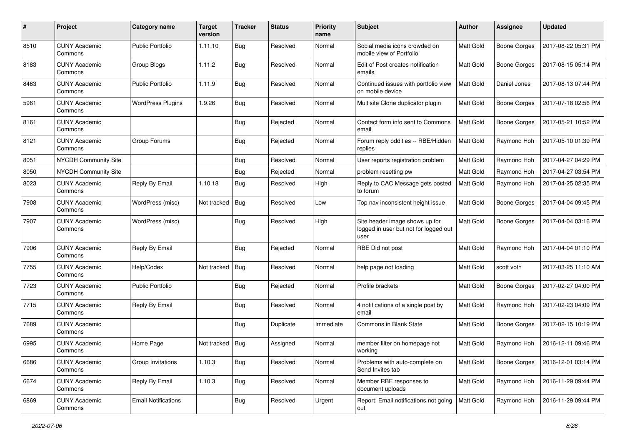| #    | Project                         | Category name              | <b>Target</b><br>version | <b>Tracker</b> | <b>Status</b> | <b>Priority</b><br>name | <b>Subject</b>                                                                  | Author           | Assignee            | <b>Updated</b>      |
|------|---------------------------------|----------------------------|--------------------------|----------------|---------------|-------------------------|---------------------------------------------------------------------------------|------------------|---------------------|---------------------|
| 8510 | <b>CUNY Academic</b><br>Commons | Public Portfolio           | 1.11.10                  | Bug            | Resolved      | Normal                  | Social media icons crowded on<br>mobile view of Portfolio                       | Matt Gold        | <b>Boone Gorges</b> | 2017-08-22 05:31 PM |
| 8183 | <b>CUNY Academic</b><br>Commons | Group Blogs                | 1.11.2                   | Bug            | Resolved      | Normal                  | Edit of Post creates notification<br>emails                                     | Matt Gold        | <b>Boone Gorges</b> | 2017-08-15 05:14 PM |
| 8463 | <b>CUNY Academic</b><br>Commons | Public Portfolio           | 1.11.9                   | Bug            | Resolved      | Normal                  | Continued issues with portfolio view<br>on mobile device                        | <b>Matt Gold</b> | Daniel Jones        | 2017-08-13 07:44 PM |
| 5961 | <b>CUNY Academic</b><br>Commons | <b>WordPress Plugins</b>   | 1.9.26                   | Bug            | Resolved      | Normal                  | Multisite Clone duplicator plugin                                               | Matt Gold        | <b>Boone Gorges</b> | 2017-07-18 02:56 PM |
| 8161 | <b>CUNY Academic</b><br>Commons |                            |                          | <b>Bug</b>     | Rejected      | Normal                  | Contact form info sent to Commons<br>email                                      | <b>Matt Gold</b> | <b>Boone Gorges</b> | 2017-05-21 10:52 PM |
| 8121 | <b>CUNY Academic</b><br>Commons | Group Forums               |                          | <b>Bug</b>     | Rejected      | Normal                  | Forum reply oddities -- RBE/Hidden<br>replies                                   | Matt Gold        | Raymond Hoh         | 2017-05-10 01:39 PM |
| 8051 | <b>NYCDH Community Site</b>     |                            |                          | <b>Bug</b>     | Resolved      | Normal                  | User reports registration problem                                               | Matt Gold        | Raymond Hoh         | 2017-04-27 04:29 PM |
| 8050 | <b>NYCDH Community Site</b>     |                            |                          | <b>Bug</b>     | Rejected      | Normal                  | problem resetting pw                                                            | Matt Gold        | Raymond Hoh         | 2017-04-27 03:54 PM |
| 8023 | <b>CUNY Academic</b><br>Commons | Reply By Email             | 1.10.18                  | <b>Bug</b>     | Resolved      | High                    | Reply to CAC Message gets posted<br>to forum                                    | Matt Gold        | Raymond Hoh         | 2017-04-25 02:35 PM |
| 7908 | <b>CUNY Academic</b><br>Commons | WordPress (misc)           | Not tracked              | <b>Bug</b>     | Resolved      | Low                     | Top nav inconsistent height issue                                               | <b>Matt Gold</b> | <b>Boone Gorges</b> | 2017-04-04 09:45 PM |
| 7907 | <b>CUNY Academic</b><br>Commons | WordPress (misc)           |                          | Bug            | Resolved      | High                    | Site header image shows up for<br>logged in user but not for logged out<br>user | Matt Gold        | <b>Boone Gorges</b> | 2017-04-04 03:16 PM |
| 7906 | <b>CUNY Academic</b><br>Commons | Reply By Email             |                          | <b>Bug</b>     | Rejected      | Normal                  | RBE Did not post                                                                | Matt Gold        | Raymond Hoh         | 2017-04-04 01:10 PM |
| 7755 | <b>CUNY Academic</b><br>Commons | Help/Codex                 | Not tracked              | Bug            | Resolved      | Normal                  | help page not loading                                                           | <b>Matt Gold</b> | scott voth          | 2017-03-25 11:10 AM |
| 7723 | <b>CUNY Academic</b><br>Commons | Public Portfolio           |                          | <b>Bug</b>     | Rejected      | Normal                  | Profile brackets                                                                | Matt Gold        | <b>Boone Gorges</b> | 2017-02-27 04:00 PM |
| 7715 | <b>CUNY Academic</b><br>Commons | Reply By Email             |                          | Bug            | Resolved      | Normal                  | 4 notifications of a single post by<br>email                                    | Matt Gold        | Raymond Hoh         | 2017-02-23 04:09 PM |
| 7689 | <b>CUNY Academic</b><br>Commons |                            |                          | <b>Bug</b>     | Duplicate     | Immediate               | <b>Commons in Blank State</b>                                                   | Matt Gold        | <b>Boone Gorges</b> | 2017-02-15 10:19 PM |
| 6995 | <b>CUNY Academic</b><br>Commons | Home Page                  | Not tracked              | Bug            | Assigned      | Normal                  | member filter on homepage not<br>working                                        | Matt Gold        | Raymond Hoh         | 2016-12-11 09:46 PM |
| 6686 | <b>CUNY Academic</b><br>Commons | Group Invitations          | 1.10.3                   | <b>Bug</b>     | Resolved      | Normal                  | Problems with auto-complete on<br>Send Invites tab                              | Matt Gold        | Boone Gorges        | 2016-12-01 03:14 PM |
| 6674 | <b>CUNY Academic</b><br>Commons | Reply By Email             | 1.10.3                   | Bug            | Resolved      | Normal                  | Member RBE responses to<br>document uploads                                     | Matt Gold        | Raymond Hoh         | 2016-11-29 09:44 PM |
| 6869 | <b>CUNY Academic</b><br>Commons | <b>Email Notifications</b> |                          | Bug            | Resolved      | Urgent                  | Report: Email notifications not going<br>out                                    | <b>Matt Gold</b> | Raymond Hoh         | 2016-11-29 09:44 PM |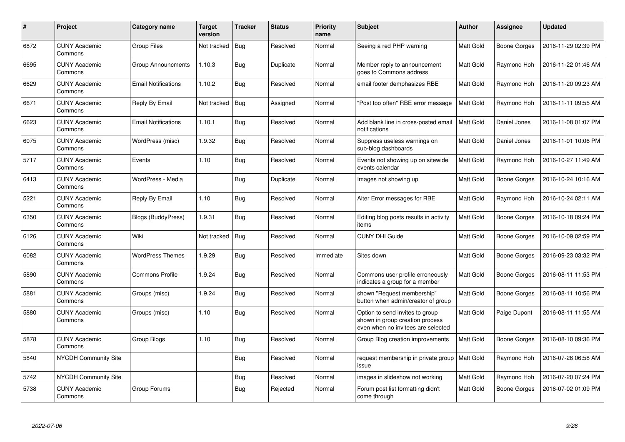| #    | Project                         | Category name              | Target<br>version | <b>Tracker</b> | <b>Status</b> | <b>Priority</b><br>name | <b>Subject</b>                                                                                           | <b>Author</b>    | Assignee     | <b>Updated</b>      |
|------|---------------------------------|----------------------------|-------------------|----------------|---------------|-------------------------|----------------------------------------------------------------------------------------------------------|------------------|--------------|---------------------|
| 6872 | <b>CUNY Academic</b><br>Commons | <b>Group Files</b>         | Not tracked       | <b>Bug</b>     | Resolved      | Normal                  | Seeing a red PHP warning                                                                                 | <b>Matt Gold</b> | Boone Gorges | 2016-11-29 02:39 PM |
| 6695 | <b>CUNY Academic</b><br>Commons | <b>Group Announcments</b>  | 1.10.3            | Bug            | Duplicate     | Normal                  | Member reply to announcement<br>goes to Commons address                                                  | Matt Gold        | Raymond Hoh  | 2016-11-22 01:46 AM |
| 6629 | <b>CUNY Academic</b><br>Commons | <b>Email Notifications</b> | 1.10.2            | <b>Bug</b>     | Resolved      | Normal                  | email footer demphasizes RBE                                                                             | Matt Gold        | Raymond Hoh  | 2016-11-20 09:23 AM |
| 6671 | <b>CUNY Academic</b><br>Commons | Reply By Email             | Not tracked       | <b>Bug</b>     | Assigned      | Normal                  | 'Post too often" RBE error message                                                                       | Matt Gold        | Raymond Hoh  | 2016-11-11 09:55 AM |
| 6623 | <b>CUNY Academic</b><br>Commons | <b>Email Notifications</b> | 1.10.1            | Bug            | Resolved      | Normal                  | Add blank line in cross-posted email<br>notifications                                                    | <b>Matt Gold</b> | Daniel Jones | 2016-11-08 01:07 PM |
| 6075 | <b>CUNY Academic</b><br>Commons | WordPress (misc)           | 1.9.32            | Bug            | Resolved      | Normal                  | Suppress useless warnings on<br>sub-blog dashboards                                                      | Matt Gold        | Daniel Jones | 2016-11-01 10:06 PM |
| 5717 | <b>CUNY Academic</b><br>Commons | Events                     | 1.10              | Bug            | Resolved      | Normal                  | Events not showing up on sitewide<br>events calendar                                                     | Matt Gold        | Raymond Hoh  | 2016-10-27 11:49 AM |
| 6413 | <b>CUNY Academic</b><br>Commons | WordPress - Media          |                   | Bug            | Duplicate     | Normal                  | Images not showing up                                                                                    | Matt Gold        | Boone Gorges | 2016-10-24 10:16 AM |
| 5221 | <b>CUNY Academic</b><br>Commons | Reply By Email             | 1.10              | <b>Bug</b>     | Resolved      | Normal                  | Alter Error messages for RBE                                                                             | <b>Matt Gold</b> | Raymond Hoh  | 2016-10-24 02:11 AM |
| 6350 | <b>CUNY Academic</b><br>Commons | <b>Blogs (BuddyPress)</b>  | 1.9.31            | <b>Bug</b>     | Resolved      | Normal                  | Editing blog posts results in activity<br>items                                                          | Matt Gold        | Boone Gorges | 2016-10-18 09:24 PM |
| 6126 | <b>CUNY Academic</b><br>Commons | Wiki                       | Not tracked       | <b>Bug</b>     | Resolved      | Normal                  | <b>CUNY DHI Guide</b>                                                                                    | Matt Gold        | Boone Gorges | 2016-10-09 02:59 PM |
| 6082 | <b>CUNY Academic</b><br>Commons | <b>WordPress Themes</b>    | 1.9.29            | <b>Bug</b>     | Resolved      | Immediate               | Sites down                                                                                               | Matt Gold        | Boone Gorges | 2016-09-23 03:32 PM |
| 5890 | <b>CUNY Academic</b><br>Commons | <b>Commons Profile</b>     | 1.9.24            | <b>Bug</b>     | Resolved      | Normal                  | Commons user profile erroneously<br>indicates a group for a member                                       | <b>Matt Gold</b> | Boone Gorges | 2016-08-11 11:53 PM |
| 5881 | <b>CUNY Academic</b><br>Commons | Groups (misc)              | 1.9.24            | <b>Bug</b>     | Resolved      | Normal                  | shown "Request membership"<br>button when admin/creator of group                                         | Matt Gold        | Boone Gorges | 2016-08-11 10:56 PM |
| 5880 | <b>CUNY Academic</b><br>Commons | Groups (misc)              | 1.10              | <b>Bug</b>     | Resolved      | Normal                  | Option to send invites to group<br>shown in group creation process<br>even when no invitees are selected | Matt Gold        | Paige Dupont | 2016-08-11 11:55 AM |
| 5878 | <b>CUNY Academic</b><br>Commons | Group Blogs                | 1.10              | Bug            | Resolved      | Normal                  | Group Blog creation improvements                                                                         | Matt Gold        | Boone Gorges | 2016-08-10 09:36 PM |
| 5840 | <b>NYCDH Community Site</b>     |                            |                   | <b>Bug</b>     | Resolved      | Normal                  | request membership in private group<br>issue                                                             | <b>Matt Gold</b> | Raymond Hoh  | 2016-07-26 06:58 AM |
| 5742 | NYCDH Community Site            |                            |                   | Bug            | Resolved      | Normal                  | images in slideshow not working                                                                          | Matt Gold        | Raymond Hoh  | 2016-07-20 07:24 PM |
| 5738 | <b>CUNY Academic</b><br>Commons | Group Forums               |                   | <b>Bug</b>     | Rejected      | Normal                  | Forum post list formatting didn't<br>come through                                                        | Matt Gold        | Boone Gorges | 2016-07-02 01:09 PM |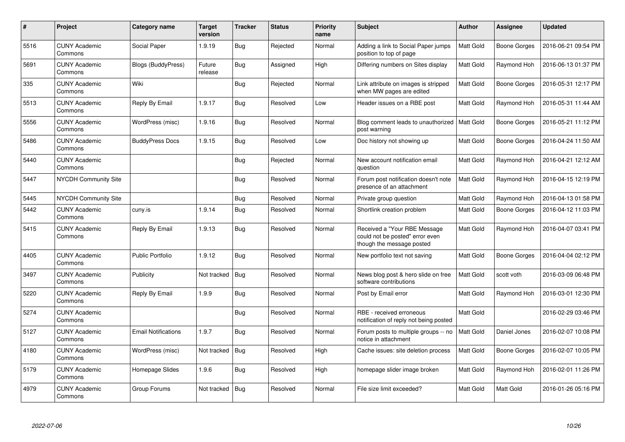| $\pmb{\#}$ | Project                         | Category name              | Target<br>version | <b>Tracker</b> | <b>Status</b> | <b>Priority</b><br>name | <b>Subject</b>                                                                               | <b>Author</b>    | Assignee     | <b>Updated</b>      |
|------------|---------------------------------|----------------------------|-------------------|----------------|---------------|-------------------------|----------------------------------------------------------------------------------------------|------------------|--------------|---------------------|
| 5516       | <b>CUNY Academic</b><br>Commons | Social Paper               | 1.9.19            | Bug            | Rejected      | Normal                  | Adding a link to Social Paper jumps<br>position to top of page                               | Matt Gold        | Boone Gorges | 2016-06-21 09:54 PM |
| 5691       | <b>CUNY Academic</b><br>Commons | Blogs (BuddyPress)         | Future<br>release | Bug            | Assigned      | High                    | Differing numbers on Sites display                                                           | Matt Gold        | Raymond Hoh  | 2016-06-13 01:37 PM |
| 335        | <b>CUNY Academic</b><br>Commons | Wiki                       |                   | <b>Bug</b>     | Rejected      | Normal                  | Link attribute on images is stripped<br>when MW pages are edited                             | Matt Gold        | Boone Gorges | 2016-05-31 12:17 PM |
| 5513       | <b>CUNY Academic</b><br>Commons | Reply By Email             | 1.9.17            | <b>Bug</b>     | Resolved      | Low                     | Header issues on a RBE post                                                                  | Matt Gold        | Raymond Hoh  | 2016-05-31 11:44 AM |
| 5556       | <b>CUNY Academic</b><br>Commons | WordPress (misc)           | 1.9.16            | Bug            | Resolved      | Normal                  | Blog comment leads to unauthorized<br>post warning                                           | Matt Gold        | Boone Gorges | 2016-05-21 11:12 PM |
| 5486       | <b>CUNY Academic</b><br>Commons | <b>BuddyPress Docs</b>     | 1.9.15            | <b>Bug</b>     | Resolved      | Low                     | Doc history not showing up                                                                   | Matt Gold        | Boone Gorges | 2016-04-24 11:50 AM |
| 5440       | <b>CUNY Academic</b><br>Commons |                            |                   | <b>Bug</b>     | Rejected      | Normal                  | New account notification email<br>auestion                                                   | Matt Gold        | Raymond Hoh  | 2016-04-21 12:12 AM |
| 5447       | <b>NYCDH Community Site</b>     |                            |                   | <b>Bug</b>     | Resolved      | Normal                  | Forum post notification doesn't note<br>presence of an attachment                            | Matt Gold        | Raymond Hoh  | 2016-04-15 12:19 PM |
| 5445       | <b>NYCDH Community Site</b>     |                            |                   | Bug            | Resolved      | Normal                  | Private group question                                                                       | Matt Gold        | Raymond Hoh  | 2016-04-13 01:58 PM |
| 5442       | <b>CUNY Academic</b><br>Commons | cuny.is                    | 1.9.14            | <b>Bug</b>     | Resolved      | Normal                  | Shortlink creation problem                                                                   | Matt Gold        | Boone Gorges | 2016-04-12 11:03 PM |
| 5415       | <b>CUNY Academic</b><br>Commons | Reply By Email             | 1.9.13            | Bug            | Resolved      | Normal                  | Received a "Your RBE Message<br>could not be posted" error even<br>though the message posted | Matt Gold        | Raymond Hoh  | 2016-04-07 03:41 PM |
| 4405       | <b>CUNY Academic</b><br>Commons | <b>Public Portfolio</b>    | 1.9.12            | <b>Bug</b>     | Resolved      | Normal                  | New portfolio text not saving                                                                | Matt Gold        | Boone Gorges | 2016-04-04 02:12 PM |
| 3497       | <b>CUNY Academic</b><br>Commons | Publicity                  | Not tracked       | <b>Bug</b>     | Resolved      | Normal                  | News blog post & hero slide on free<br>software contributions                                | Matt Gold        | scott voth   | 2016-03-09 06:48 PM |
| 5220       | <b>CUNY Academic</b><br>Commons | Reply By Email             | 1.9.9             | Bug            | Resolved      | Normal                  | Post by Email error                                                                          | Matt Gold        | Raymond Hoh  | 2016-03-01 12:30 PM |
| 5274       | <b>CUNY Academic</b><br>Commons |                            |                   | Bug            | Resolved      | Normal                  | RBE - received erroneous<br>notification of reply not being posted                           | Matt Gold        |              | 2016-02-29 03:46 PM |
| 5127       | <b>CUNY Academic</b><br>Commons | <b>Email Notifications</b> | 1.9.7             | Bug            | Resolved      | Normal                  | Forum posts to multiple groups -- no<br>notice in attachment                                 | <b>Matt Gold</b> | Daniel Jones | 2016-02-07 10:08 PM |
| 4180       | <b>CUNY Academic</b><br>Commons | WordPress (misc)           | Not tracked       | Bug            | Resolved      | High                    | Cache issues: site deletion process                                                          | Matt Gold        | Boone Gorges | 2016-02-07 10:05 PM |
| 5179       | <b>CUNY Academic</b><br>Commons | Homepage Slides            | 1.9.6             | <b>Bug</b>     | Resolved      | High                    | homepage slider image broken                                                                 | Matt Gold        | Raymond Hoh  | 2016-02-01 11:26 PM |
| 4979       | <b>CUNY Academic</b><br>Commons | Group Forums               | Not tracked       | <b>Bug</b>     | Resolved      | Normal                  | File size limit exceeded?                                                                    | Matt Gold        | Matt Gold    | 2016-01-26 05:16 PM |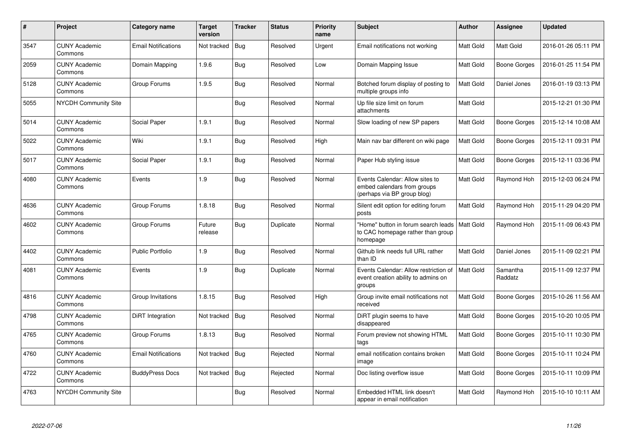| #    | Project                         | Category name              | Target<br>version | <b>Tracker</b> | <b>Status</b> | <b>Priority</b><br>name | <b>Subject</b>                                                                                | <b>Author</b>    | Assignee            | <b>Updated</b>      |
|------|---------------------------------|----------------------------|-------------------|----------------|---------------|-------------------------|-----------------------------------------------------------------------------------------------|------------------|---------------------|---------------------|
| 3547 | <b>CUNY Academic</b><br>Commons | <b>Email Notifications</b> | Not tracked       | Bug            | Resolved      | Urgent                  | Email notifications not working                                                               | <b>Matt Gold</b> | <b>Matt Gold</b>    | 2016-01-26 05:11 PM |
| 2059 | <b>CUNY Academic</b><br>Commons | Domain Mapping             | 1.9.6             | Bug            | Resolved      | Low                     | Domain Mapping Issue                                                                          | Matt Gold        | <b>Boone Gorges</b> | 2016-01-25 11:54 PM |
| 5128 | <b>CUNY Academic</b><br>Commons | Group Forums               | 1.9.5             | <b>Bug</b>     | Resolved      | Normal                  | Botched forum display of posting to<br>multiple groups info                                   | Matt Gold        | Daniel Jones        | 2016-01-19 03:13 PM |
| 5055 | <b>NYCDH Community Site</b>     |                            |                   | Bug            | Resolved      | Normal                  | Up file size limit on forum<br>attachments                                                    | Matt Gold        |                     | 2015-12-21 01:30 PM |
| 5014 | <b>CUNY Academic</b><br>Commons | Social Paper               | 1.9.1             | Bug            | Resolved      | Normal                  | Slow loading of new SP papers                                                                 | Matt Gold        | Boone Gorges        | 2015-12-14 10:08 AM |
| 5022 | <b>CUNY Academic</b><br>Commons | Wiki                       | 1.9.1             | <b>Bug</b>     | Resolved      | High                    | Main nav bar different on wiki page                                                           | Matt Gold        | <b>Boone Gorges</b> | 2015-12-11 09:31 PM |
| 5017 | <b>CUNY Academic</b><br>Commons | Social Paper               | 1.9.1             | <b>Bug</b>     | Resolved      | Normal                  | Paper Hub styling issue                                                                       | Matt Gold        | <b>Boone Gorges</b> | 2015-12-11 03:36 PM |
| 4080 | <b>CUNY Academic</b><br>Commons | Events                     | 1.9               | <b>Bug</b>     | Resolved      | Normal                  | Events Calendar: Allow sites to<br>embed calendars from groups<br>(perhaps via BP group blog) | Matt Gold        | Raymond Hoh         | 2015-12-03 06:24 PM |
| 4636 | <b>CUNY Academic</b><br>Commons | Group Forums               | 1.8.18            | Bug            | Resolved      | Normal                  | Silent edit option for editing forum<br>posts                                                 | Matt Gold        | Raymond Hoh         | 2015-11-29 04:20 PM |
| 4602 | <b>CUNY Academic</b><br>Commons | Group Forums               | Future<br>release | <b>Bug</b>     | Duplicate     | Normal                  | "Home" button in forum search leads<br>to CAC homepage rather than group<br>homepage          | <b>Matt Gold</b> | Raymond Hoh         | 2015-11-09 06:43 PM |
| 4402 | <b>CUNY Academic</b><br>Commons | <b>Public Portfolio</b>    | 1.9               | Bug            | Resolved      | Normal                  | Github link needs full URL rather<br>than ID                                                  | Matt Gold        | Daniel Jones        | 2015-11-09 02:21 PM |
| 4081 | <b>CUNY Academic</b><br>Commons | Events                     | 1.9               | Bug            | Duplicate     | Normal                  | Events Calendar: Allow restriction of<br>event creation ability to admins on<br>groups        | <b>Matt Gold</b> | Samantha<br>Raddatz | 2015-11-09 12:37 PM |
| 4816 | <b>CUNY Academic</b><br>Commons | Group Invitations          | 1.8.15            | Bug            | Resolved      | High                    | Group invite email notifications not<br>received                                              | Matt Gold        | Boone Gorges        | 2015-10-26 11:56 AM |
| 4798 | <b>CUNY Academic</b><br>Commons | DiRT Integration           | Not tracked       | Bug            | Resolved      | Normal                  | DiRT plugin seems to have<br>disappeared                                                      | Matt Gold        | <b>Boone Gorges</b> | 2015-10-20 10:05 PM |
| 4765 | <b>CUNY Academic</b><br>Commons | Group Forums               | 1.8.13            | <b>Bug</b>     | Resolved      | Normal                  | Forum preview not showing HTML<br>tags                                                        | Matt Gold        | Boone Gorges        | 2015-10-11 10:30 PM |
| 4760 | <b>CUNY Academic</b><br>Commons | <b>Email Notifications</b> | Not tracked       | Bug            | Rejected      | Normal                  | email notification contains broken<br>image                                                   | Matt Gold        | Boone Gorges        | 2015-10-11 10:24 PM |
| 4722 | <b>CUNY Academic</b><br>Commons | <b>BuddyPress Docs</b>     | Not tracked       | <b>Bug</b>     | Rejected      | Normal                  | Doc listing overflow issue                                                                    | Matt Gold        | <b>Boone Gorges</b> | 2015-10-11 10:09 PM |
| 4763 | <b>NYCDH Community Site</b>     |                            |                   | <b>Bug</b>     | Resolved      | Normal                  | Embedded HTML link doesn't<br>appear in email notification                                    | Matt Gold        | Raymond Hoh         | 2015-10-10 10:11 AM |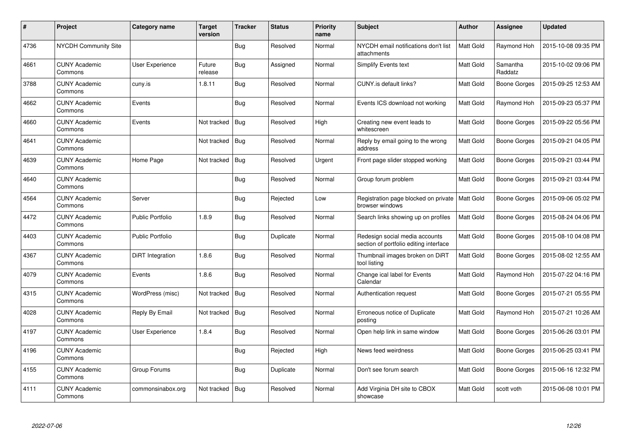| $\#$ | Project                         | Category name           | <b>Target</b><br>version | <b>Tracker</b> | <b>Status</b> | <b>Priority</b><br>name | <b>Subject</b>                                                           | <b>Author</b>    | Assignee            | <b>Updated</b>      |
|------|---------------------------------|-------------------------|--------------------------|----------------|---------------|-------------------------|--------------------------------------------------------------------------|------------------|---------------------|---------------------|
| 4736 | <b>NYCDH Community Site</b>     |                         |                          | <b>Bug</b>     | Resolved      | Normal                  | NYCDH email notifications don't list<br>attachments                      | <b>Matt Gold</b> | Raymond Hoh         | 2015-10-08 09:35 PM |
| 4661 | <b>CUNY Academic</b><br>Commons | User Experience         | Future<br>release        | <b>Bug</b>     | Assigned      | Normal                  | Simplify Events text                                                     | Matt Gold        | Samantha<br>Raddatz | 2015-10-02 09:06 PM |
| 3788 | <b>CUNY Academic</b><br>Commons | cuny.is                 | 1.8.11                   | <b>Bug</b>     | Resolved      | Normal                  | CUNY.is default links?                                                   | Matt Gold        | <b>Boone Gorges</b> | 2015-09-25 12:53 AM |
| 4662 | <b>CUNY Academic</b><br>Commons | Events                  |                          | <b>Bug</b>     | Resolved      | Normal                  | Events ICS download not working                                          | Matt Gold        | Raymond Hoh         | 2015-09-23 05:37 PM |
| 4660 | <b>CUNY Academic</b><br>Commons | Events                  | Not tracked              | <b>Bug</b>     | Resolved      | High                    | Creating new event leads to<br>whitescreen                               | Matt Gold        | Boone Gorges        | 2015-09-22 05:56 PM |
| 4641 | <b>CUNY Academic</b><br>Commons |                         | Not tracked              | <b>Bug</b>     | Resolved      | Normal                  | Reply by email going to the wrong<br>address                             | Matt Gold        | Boone Gorges        | 2015-09-21 04:05 PM |
| 4639 | <b>CUNY Academic</b><br>Commons | Home Page               | Not tracked              | Bug            | Resolved      | Urgent                  | Front page slider stopped working                                        | Matt Gold        | Boone Gorges        | 2015-09-21 03:44 PM |
| 4640 | <b>CUNY Academic</b><br>Commons |                         |                          | <b>Bug</b>     | Resolved      | Normal                  | Group forum problem                                                      | Matt Gold        | Boone Gorges        | 2015-09-21 03:44 PM |
| 4564 | <b>CUNY Academic</b><br>Commons | Server                  |                          | <b>Bug</b>     | Rejected      | Low                     | Registration page blocked on private<br>browser windows                  | Matt Gold        | Boone Gorges        | 2015-09-06 05:02 PM |
| 4472 | <b>CUNY Academic</b><br>Commons | <b>Public Portfolio</b> | 1.8.9                    | Bug            | Resolved      | Normal                  | Search links showing up on profiles                                      | <b>Matt Gold</b> | Boone Gorges        | 2015-08-24 04:06 PM |
| 4403 | <b>CUNY Academic</b><br>Commons | Public Portfolio        |                          | Bug            | Duplicate     | Normal                  | Redesign social media accounts<br>section of portfolio editing interface | Matt Gold        | Boone Gorges        | 2015-08-10 04:08 PM |
| 4367 | <b>CUNY Academic</b><br>Commons | DiRT Integration        | 1.8.6                    | <b>Bug</b>     | Resolved      | Normal                  | Thumbnail images broken on DiRT<br>tool listing                          | Matt Gold        | Boone Gorges        | 2015-08-02 12:55 AM |
| 4079 | <b>CUNY Academic</b><br>Commons | Events                  | 1.8.6                    | <b>Bug</b>     | Resolved      | Normal                  | Change ical label for Events<br>Calendar                                 | Matt Gold        | Raymond Hoh         | 2015-07-22 04:16 PM |
| 4315 | <b>CUNY Academic</b><br>Commons | WordPress (misc)        | Not tracked              | Bug            | Resolved      | Normal                  | Authentication request                                                   | Matt Gold        | Boone Gorges        | 2015-07-21 05:55 PM |
| 4028 | <b>CUNY Academic</b><br>Commons | Reply By Email          | Not tracked              | Bug            | Resolved      | Normal                  | Erroneous notice of Duplicate<br>posting                                 | Matt Gold        | Raymond Hoh         | 2015-07-21 10:26 AM |
| 4197 | <b>CUNY Academic</b><br>Commons | User Experience         | 1.8.4                    | Bug            | Resolved      | Normal                  | Open help link in same window                                            | Matt Gold        | Boone Gorges        | 2015-06-26 03:01 PM |
| 4196 | <b>CUNY Academic</b><br>Commons |                         |                          | <b>Bug</b>     | Rejected      | High                    | News feed weirdness                                                      | Matt Gold        | Boone Gorges        | 2015-06-25 03:41 PM |
| 4155 | <b>CUNY Academic</b><br>Commons | Group Forums            |                          | <b>Bug</b>     | Duplicate     | Normal                  | Don't see forum search                                                   | Matt Gold        | Boone Gorges        | 2015-06-16 12:32 PM |
| 4111 | <b>CUNY Academic</b><br>Commons | commonsinabox.org       | Not tracked              | Bug            | Resolved      | Normal                  | Add Virginia DH site to CBOX<br>showcase                                 | Matt Gold        | scott voth          | 2015-06-08 10:01 PM |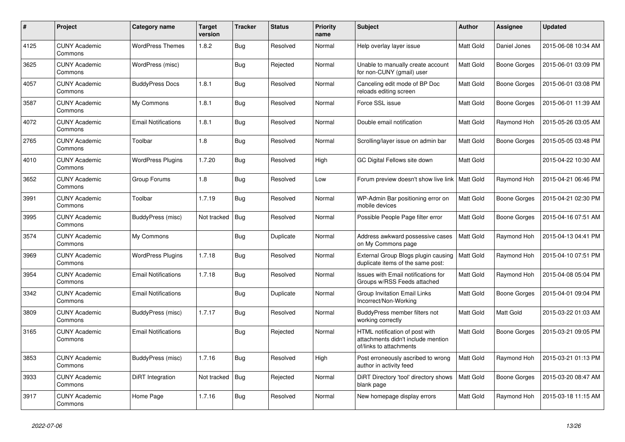| #    | Project                         | Category name              | Target<br>version | <b>Tracker</b> | <b>Status</b> | <b>Priority</b><br>name | <b>Subject</b>                                                                                  | <b>Author</b>    | Assignee     | <b>Updated</b>      |
|------|---------------------------------|----------------------------|-------------------|----------------|---------------|-------------------------|-------------------------------------------------------------------------------------------------|------------------|--------------|---------------------|
| 4125 | <b>CUNY Academic</b><br>Commons | <b>WordPress Themes</b>    | 1.8.2             | Bug            | Resolved      | Normal                  | Help overlay layer issue                                                                        | <b>Matt Gold</b> | Daniel Jones | 2015-06-08 10:34 AM |
| 3625 | <b>CUNY Academic</b><br>Commons | WordPress (misc)           |                   | <b>Bug</b>     | Rejected      | Normal                  | Unable to manually create account<br>for non-CUNY (gmail) user                                  | <b>Matt Gold</b> | Boone Gorges | 2015-06-01 03:09 PM |
| 4057 | <b>CUNY Academic</b><br>Commons | <b>BuddyPress Docs</b>     | 1.8.1             | <b>Bug</b>     | Resolved      | Normal                  | Canceling edit mode of BP Doc<br>reloads editing screen                                         | Matt Gold        | Boone Gorges | 2015-06-01 03:08 PM |
| 3587 | <b>CUNY Academic</b><br>Commons | My Commons                 | 1.8.1             | <b>Bug</b>     | Resolved      | Normal                  | Force SSL issue                                                                                 | Matt Gold        | Boone Gorges | 2015-06-01 11:39 AM |
| 4072 | <b>CUNY Academic</b><br>Commons | <b>Email Notifications</b> | 1.8.1             | Bug            | Resolved      | Normal                  | Double email notification                                                                       | Matt Gold        | Raymond Hoh  | 2015-05-26 03:05 AM |
| 2765 | <b>CUNY Academic</b><br>Commons | Toolbar                    | 1.8               | <b>Bug</b>     | Resolved      | Normal                  | Scrolling/layer issue on admin bar                                                              | Matt Gold        | Boone Gorges | 2015-05-05 03:48 PM |
| 4010 | <b>CUNY Academic</b><br>Commons | <b>WordPress Plugins</b>   | 1.7.20            | Bug            | Resolved      | High                    | GC Digital Fellows site down                                                                    | Matt Gold        |              | 2015-04-22 10:30 AM |
| 3652 | <b>CUNY Academic</b><br>Commons | Group Forums               | 1.8               | Bug            | Resolved      | Low                     | Forum preview doesn't show live link                                                            | <b>Matt Gold</b> | Raymond Hoh  | 2015-04-21 06:46 PM |
| 3991 | <b>CUNY Academic</b><br>Commons | Toolbar                    | 1.7.19            | Bug            | Resolved      | Normal                  | WP-Admin Bar positioning error on<br>mobile devices                                             | Matt Gold        | Boone Gorges | 2015-04-21 02:30 PM |
| 3995 | <b>CUNY Academic</b><br>Commons | BuddyPress (misc)          | Not tracked       | Bug            | Resolved      | Normal                  | Possible People Page filter error                                                               | Matt Gold        | Boone Gorges | 2015-04-16 07:51 AM |
| 3574 | <b>CUNY Academic</b><br>Commons | My Commons                 |                   | <b>Bug</b>     | Duplicate     | Normal                  | Address awkward possessive cases<br>on My Commons page                                          | <b>Matt Gold</b> | Raymond Hoh  | 2015-04-13 04:41 PM |
| 3969 | <b>CUNY Academic</b><br>Commons | <b>WordPress Plugins</b>   | 1.7.18            | Bug            | Resolved      | Normal                  | External Group Blogs plugin causing<br>duplicate items of the same post:                        | <b>Matt Gold</b> | Raymond Hoh  | 2015-04-10 07:51 PM |
| 3954 | <b>CUNY Academic</b><br>Commons | <b>Email Notifications</b> | 1.7.18            | <b>Bug</b>     | Resolved      | Normal                  | Issues with Email notifications for<br>Groups w/RSS Feeds attached                              | Matt Gold        | Raymond Hoh  | 2015-04-08 05:04 PM |
| 3342 | <b>CUNY Academic</b><br>Commons | <b>Email Notifications</b> |                   | <b>Bug</b>     | Duplicate     | Normal                  | <b>Group Invitation Email Links</b><br>Incorrect/Non-Working                                    | Matt Gold        | Boone Gorges | 2015-04-01 09:04 PM |
| 3809 | <b>CUNY Academic</b><br>Commons | BuddyPress (misc)          | 1.7.17            | Bug            | Resolved      | Normal                  | BuddyPress member filters not<br>working correctly                                              | Matt Gold        | Matt Gold    | 2015-03-22 01:03 AM |
| 3165 | <b>CUNY Academic</b><br>Commons | <b>Email Notifications</b> |                   | Bug            | Rejected      | Normal                  | HTML notification of post with<br>attachments didn't include mention<br>of/links to attachments | Matt Gold        | Boone Gorges | 2015-03-21 09:05 PM |
| 3853 | <b>CUNY Academic</b><br>Commons | BuddyPress (misc)          | 1.7.16            | <b>Bug</b>     | Resolved      | High                    | Post erroneously ascribed to wrong<br>author in activity feed                                   | Matt Gold        | Raymond Hoh  | 2015-03-21 01:13 PM |
| 3933 | <b>CUNY Academic</b><br>Commons | DiRT Integration           | Not tracked       | Bug            | Rejected      | Normal                  | DiRT Directory 'tool' directory shows<br>blank page                                             | <b>Matt Gold</b> | Boone Gorges | 2015-03-20 08:47 AM |
| 3917 | <b>CUNY Academic</b><br>Commons | Home Page                  | 1.7.16            | Bug            | Resolved      | Normal                  | New homepage display errors                                                                     | Matt Gold        | Raymond Hoh  | 2015-03-18 11:15 AM |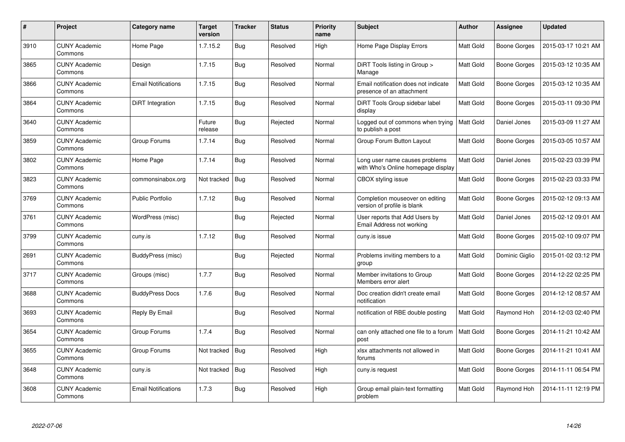| $\#$ | <b>Project</b>                  | Category name              | <b>Target</b><br>version | <b>Tracker</b> | <b>Status</b> | <b>Priority</b><br>name | <b>Subject</b>                                                       | <b>Author</b>    | Assignee            | <b>Updated</b>      |
|------|---------------------------------|----------------------------|--------------------------|----------------|---------------|-------------------------|----------------------------------------------------------------------|------------------|---------------------|---------------------|
| 3910 | <b>CUNY Academic</b><br>Commons | Home Page                  | 1.7.15.2                 | Bug            | Resolved      | High                    | Home Page Display Errors                                             | <b>Matt Gold</b> | Boone Gorges        | 2015-03-17 10:21 AM |
| 3865 | <b>CUNY Academic</b><br>Commons | Design                     | 1.7.15                   | Bug            | Resolved      | Normal                  | DiRT Tools listing in Group ><br>Manage                              | Matt Gold        | Boone Gorges        | 2015-03-12 10:35 AM |
| 3866 | <b>CUNY Academic</b><br>Commons | <b>Email Notifications</b> | 1.7.15                   | <b>Bug</b>     | Resolved      | Normal                  | Email notification does not indicate<br>presence of an attachment    | Matt Gold        | <b>Boone Gorges</b> | 2015-03-12 10:35 AM |
| 3864 | <b>CUNY Academic</b><br>Commons | DiRT Integration           | 1.7.15                   | <b>Bug</b>     | Resolved      | Normal                  | DiRT Tools Group sidebar label<br>display                            | Matt Gold        | Boone Gorges        | 2015-03-11 09:30 PM |
| 3640 | <b>CUNY Academic</b><br>Commons |                            | Future<br>release        | Bug            | Rejected      | Normal                  | Logged out of commons when trying<br>to publish a post               | <b>Matt Gold</b> | Daniel Jones        | 2015-03-09 11:27 AM |
| 3859 | <b>CUNY Academic</b><br>Commons | Group Forums               | 1.7.14                   | <b>Bug</b>     | Resolved      | Normal                  | Group Forum Button Layout                                            | Matt Gold        | Boone Gorges        | 2015-03-05 10:57 AM |
| 3802 | <b>CUNY Academic</b><br>Commons | Home Page                  | 1.7.14                   | <b>Bug</b>     | Resolved      | Normal                  | Long user name causes problems<br>with Who's Online homepage display | <b>Matt Gold</b> | Daniel Jones        | 2015-02-23 03:39 PM |
| 3823 | <b>CUNY Academic</b><br>Commons | commonsinabox.org          | Not tracked              | <b>Bug</b>     | Resolved      | Normal                  | CBOX styling issue                                                   | Matt Gold        | Boone Gorges        | 2015-02-23 03:33 PM |
| 3769 | <b>CUNY Academic</b><br>Commons | <b>Public Portfolio</b>    | 1.7.12                   | Bug            | Resolved      | Normal                  | Completion mouseover on editing<br>version of profile is blank       | Matt Gold        | Boone Gorges        | 2015-02-12 09:13 AM |
| 3761 | <b>CUNY Academic</b><br>Commons | WordPress (misc)           |                          | <b>Bug</b>     | Rejected      | Normal                  | User reports that Add Users by<br>Email Address not working          | <b>Matt Gold</b> | Daniel Jones        | 2015-02-12 09:01 AM |
| 3799 | <b>CUNY Academic</b><br>Commons | cuny.is                    | 1.7.12                   | <b>Bug</b>     | Resolved      | Normal                  | cuny.is issue                                                        | <b>Matt Gold</b> | Boone Gorges        | 2015-02-10 09:07 PM |
| 2691 | <b>CUNY Academic</b><br>Commons | BuddyPress (misc)          |                          | Bug            | Rejected      | Normal                  | Problems inviting members to a<br>group                              | Matt Gold        | Dominic Giglio      | 2015-01-02 03:12 PM |
| 3717 | <b>CUNY Academic</b><br>Commons | Groups (misc)              | 1.7.7                    | Bug            | Resolved      | Normal                  | Member invitations to Group<br>Members error alert                   | <b>Matt Gold</b> | Boone Gorges        | 2014-12-22 02:25 PM |
| 3688 | <b>CUNY Academic</b><br>Commons | <b>BuddyPress Docs</b>     | 1.7.6                    | <b>Bug</b>     | Resolved      | Normal                  | Doc creation didn't create email<br>notification                     | Matt Gold        | Boone Gorges        | 2014-12-12 08:57 AM |
| 3693 | <b>CUNY Academic</b><br>Commons | Reply By Email             |                          | Bug            | Resolved      | Normal                  | notification of RBE double posting                                   | Matt Gold        | Raymond Hoh         | 2014-12-03 02:40 PM |
| 3654 | <b>CUNY Academic</b><br>Commons | Group Forums               | 1.7.4                    | <b>Bug</b>     | Resolved      | Normal                  | can only attached one file to a forum<br>post                        | <b>Matt Gold</b> | Boone Gorges        | 2014-11-21 10:42 AM |
| 3655 | <b>CUNY Academic</b><br>Commons | Group Forums               | Not tracked              | Bug            | Resolved      | High                    | xlsx attachments not allowed in<br>forums                            | Matt Gold        | Boone Gorges        | 2014-11-21 10:41 AM |
| 3648 | <b>CUNY Academic</b><br>Commons | cuny.is                    | Not tracked              | Bug            | Resolved      | High                    | cuny.is request                                                      | Matt Gold        | Boone Gorges        | 2014-11-11 06:54 PM |
| 3608 | <b>CUNY Academic</b><br>Commons | <b>Email Notifications</b> | 1.7.3                    | <b>Bug</b>     | Resolved      | High                    | Group email plain-text formatting<br>problem                         | Matt Gold        | Raymond Hoh         | 2014-11-11 12:19 PM |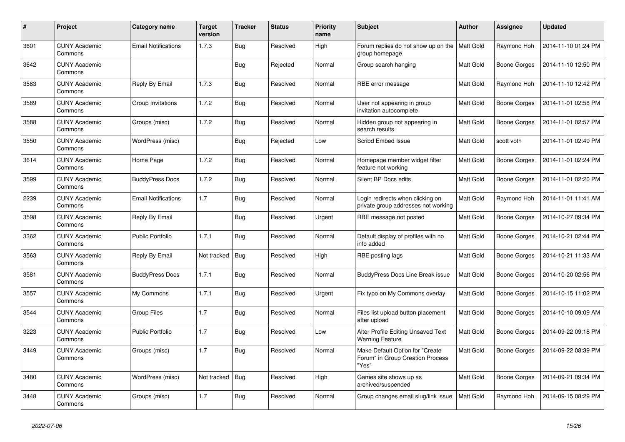| #    | Project                         | Category name              | <b>Target</b><br>version | <b>Tracker</b> | <b>Status</b> | <b>Priority</b><br>name | <b>Subject</b>                                                                | <b>Author</b>    | <b>Assignee</b> | <b>Updated</b>      |
|------|---------------------------------|----------------------------|--------------------------|----------------|---------------|-------------------------|-------------------------------------------------------------------------------|------------------|-----------------|---------------------|
| 3601 | <b>CUNY Academic</b><br>Commons | <b>Email Notifications</b> | 1.7.3                    | <b>Bug</b>     | Resolved      | High                    | Forum replies do not show up on the<br>group homepage                         | <b>Matt Gold</b> | Raymond Hoh     | 2014-11-10 01:24 PM |
| 3642 | <b>CUNY Academic</b><br>Commons |                            |                          | <b>Bug</b>     | Rejected      | Normal                  | Group search hanging                                                          | Matt Gold        | Boone Gorges    | 2014-11-10 12:50 PM |
| 3583 | <b>CUNY Academic</b><br>Commons | Reply By Email             | 1.7.3                    | Bug            | Resolved      | Normal                  | RBE error message                                                             | Matt Gold        | Raymond Hoh     | 2014-11-10 12:42 PM |
| 3589 | <b>CUNY Academic</b><br>Commons | Group Invitations          | 1.7.2                    | <b>Bug</b>     | Resolved      | Normal                  | User not appearing in group<br>invitation autocomplete                        | Matt Gold        | Boone Gorges    | 2014-11-01 02:58 PM |
| 3588 | <b>CUNY Academic</b><br>Commons | Groups (misc)              | 1.7.2                    | <b>Bug</b>     | Resolved      | Normal                  | Hidden group not appearing in<br>search results                               | Matt Gold        | Boone Gorges    | 2014-11-01 02:57 PM |
| 3550 | <b>CUNY Academic</b><br>Commons | WordPress (misc)           |                          | <b>Bug</b>     | Rejected      | Low                     | Scribd Embed Issue                                                            | <b>Matt Gold</b> | scott voth      | 2014-11-01 02:49 PM |
| 3614 | <b>CUNY Academic</b><br>Commons | Home Page                  | 1.7.2                    | <b>Bug</b>     | Resolved      | Normal                  | Homepage member widget filter<br>feature not working                          | Matt Gold        | Boone Gorges    | 2014-11-01 02:24 PM |
| 3599 | <b>CUNY Academic</b><br>Commons | <b>BuddyPress Docs</b>     | 1.7.2                    | <b>Bug</b>     | Resolved      | Normal                  | Silent BP Docs edits                                                          | Matt Gold        | Boone Gorges    | 2014-11-01 02:20 PM |
| 2239 | <b>CUNY Academic</b><br>Commons | <b>Email Notifications</b> | 1.7                      | <b>Bug</b>     | Resolved      | Normal                  | Login redirects when clicking on<br>private group addresses not working       | Matt Gold        | Raymond Hoh     | 2014-11-01 11:41 AM |
| 3598 | <b>CUNY Academic</b><br>Commons | Reply By Email             |                          | <b>Bug</b>     | Resolved      | Urgent                  | RBE message not posted                                                        | Matt Gold        | Boone Gorges    | 2014-10-27 09:34 PM |
| 3362 | <b>CUNY Academic</b><br>Commons | <b>Public Portfolio</b>    | 1.7.1                    | Bug            | Resolved      | Normal                  | Default display of profiles with no<br>info added                             | Matt Gold        | Boone Gorges    | 2014-10-21 02:44 PM |
| 3563 | <b>CUNY Academic</b><br>Commons | Reply By Email             | Not tracked              | Bug            | Resolved      | High                    | RBE posting lags                                                              | Matt Gold        | Boone Gorges    | 2014-10-21 11:33 AM |
| 3581 | <b>CUNY Academic</b><br>Commons | <b>BuddyPress Docs</b>     | 1.7.1                    | <b>Bug</b>     | Resolved      | Normal                  | <b>BuddyPress Docs Line Break issue</b>                                       | Matt Gold        | Boone Gorges    | 2014-10-20 02:56 PM |
| 3557 | <b>CUNY Academic</b><br>Commons | My Commons                 | 1.7.1                    | <b>Bug</b>     | Resolved      | Urgent                  | Fix typo on My Commons overlay                                                | Matt Gold        | Boone Gorges    | 2014-10-15 11:02 PM |
| 3544 | <b>CUNY Academic</b><br>Commons | <b>Group Files</b>         | 1.7                      | <b>Bug</b>     | Resolved      | Normal                  | Files list upload button placement<br>after upload                            | Matt Gold        | Boone Gorges    | 2014-10-10 09:09 AM |
| 3223 | <b>CUNY Academic</b><br>Commons | <b>Public Portfolio</b>    | 1.7                      | <b>Bug</b>     | Resolved      | Low                     | Alter Profile Editing Unsaved Text<br><b>Warning Feature</b>                  | Matt Gold        | Boone Gorges    | 2014-09-22 09:18 PM |
| 3449 | <b>CUNY Academic</b><br>Commons | Groups (misc)              | 1.7                      | <b>Bug</b>     | Resolved      | Normal                  | Make Default Option for "Create"<br>Forum" in Group Creation Process<br>"Yes" | Matt Gold        | Boone Gorges    | 2014-09-22 08:39 PM |
| 3480 | <b>CUNY Academic</b><br>Commons | WordPress (misc)           | Not tracked              | Bug            | Resolved      | High                    | Games site shows up as<br>archived/suspended                                  | Matt Gold        | Boone Gorges    | 2014-09-21 09:34 PM |
| 3448 | <b>CUNY Academic</b><br>Commons | Groups (misc)              | 1.7                      | <b>Bug</b>     | Resolved      | Normal                  | Group changes email slug/link issue                                           | <b>Matt Gold</b> | Raymond Hoh     | 2014-09-15 08:29 PM |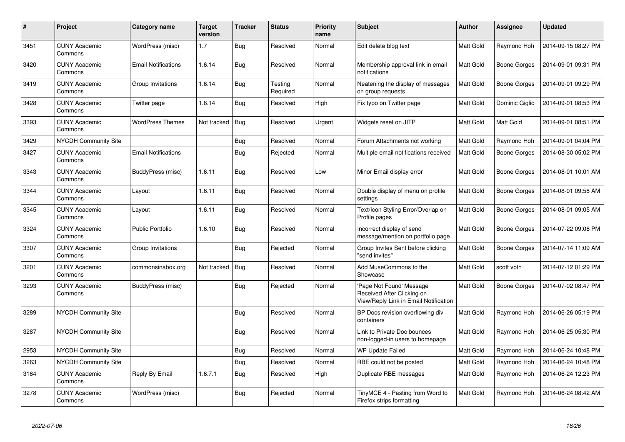| $\pmb{\#}$ | Project                         | Category name              | <b>Target</b><br>version | <b>Tracker</b> | <b>Status</b>       | <b>Priority</b><br>name | <b>Subject</b>                                                                                  | <b>Author</b>    | Assignee         | <b>Updated</b>      |
|------------|---------------------------------|----------------------------|--------------------------|----------------|---------------------|-------------------------|-------------------------------------------------------------------------------------------------|------------------|------------------|---------------------|
| 3451       | <b>CUNY Academic</b><br>Commons | WordPress (misc)           | 1.7                      | Bug            | Resolved            | Normal                  | Edit delete blog text                                                                           | <b>Matt Gold</b> | Raymond Hoh      | 2014-09-15 08:27 PM |
| 3420       | <b>CUNY Academic</b><br>Commons | <b>Email Notifications</b> | 1.6.14                   | <b>Bug</b>     | Resolved            | Normal                  | Membership approval link in email<br>notifications                                              | <b>Matt Gold</b> | Boone Gorges     | 2014-09-01 09:31 PM |
| 3419       | <b>CUNY Academic</b><br>Commons | Group Invitations          | 1.6.14                   | Bug            | Testing<br>Required | Normal                  | Neatening the display of messages<br>on group requests                                          | Matt Gold        | Boone Gorges     | 2014-09-01 09:29 PM |
| 3428       | <b>CUNY Academic</b><br>Commons | Twitter page               | 1.6.14                   | <b>Bug</b>     | Resolved            | High                    | Fix typo on Twitter page                                                                        | Matt Gold        | Dominic Giglio   | 2014-09-01 08:53 PM |
| 3393       | <b>CUNY Academic</b><br>Commons | <b>WordPress Themes</b>    | Not tracked              | Bug            | Resolved            | Urgent                  | Widgets reset on JITP                                                                           | Matt Gold        | <b>Matt Gold</b> | 2014-09-01 08:51 PM |
| 3429       | NYCDH Community Site            |                            |                          | Bug            | Resolved            | Normal                  | Forum Attachments not working                                                                   | <b>Matt Gold</b> | Raymond Hoh      | 2014-09-01 04:04 PM |
| 3427       | <b>CUNY Academic</b><br>Commons | <b>Email Notifications</b> |                          | Bug            | Rejected            | Normal                  | Multiple email notifications received                                                           | Matt Gold        | Boone Gorges     | 2014-08-30 05:02 PM |
| 3343       | <b>CUNY Academic</b><br>Commons | BuddyPress (misc)          | 1.6.11                   | <b>Bug</b>     | Resolved            | Low                     | Minor Email display error                                                                       | <b>Matt Gold</b> | Boone Gorges     | 2014-08-01 10:01 AM |
| 3344       | <b>CUNY Academic</b><br>Commons | Layout                     | 1.6.11                   | Bug            | Resolved            | Normal                  | Double display of menu on profile<br>settings                                                   | <b>Matt Gold</b> | Boone Gorges     | 2014-08-01 09:58 AM |
| 3345       | <b>CUNY Academic</b><br>Commons | Layout                     | 1.6.11                   | <b>Bug</b>     | Resolved            | Normal                  | Text/Icon Styling Error/Overlap on<br>Profile pages                                             | <b>Matt Gold</b> | Boone Gorges     | 2014-08-01 09:05 AM |
| 3324       | <b>CUNY Academic</b><br>Commons | <b>Public Portfolio</b>    | 1.6.10                   | Bug            | Resolved            | Normal                  | Incorrect display of send<br>message/mention on portfolio page                                  | Matt Gold        | Boone Gorges     | 2014-07-22 09:06 PM |
| 3307       | <b>CUNY Academic</b><br>Commons | Group Invitations          |                          | <b>Bug</b>     | Rejected            | Normal                  | Group Invites Sent before clicking<br>'send invites"                                            | Matt Gold        | Boone Gorges     | 2014-07-14 11:09 AM |
| 3201       | <b>CUNY Academic</b><br>Commons | commonsinabox.org          | Not tracked              | <b>Bug</b>     | Resolved            | Normal                  | Add MuseCommons to the<br>Showcase                                                              | <b>Matt Gold</b> | scott voth       | 2014-07-12 01:29 PM |
| 3293       | <b>CUNY Academic</b><br>Commons | BuddyPress (misc)          |                          | Bug            | Rejected            | Normal                  | 'Page Not Found' Message<br>Received After Clicking on<br>View/Reply Link in Email Notification | Matt Gold        | Boone Gorges     | 2014-07-02 08:47 PM |
| 3289       | <b>NYCDH Community Site</b>     |                            |                          | <b>Bug</b>     | Resolved            | Normal                  | BP Docs revision overflowing div<br>containers                                                  | Matt Gold        | Raymond Hoh      | 2014-06-26 05:19 PM |
| 3287       | <b>NYCDH Community Site</b>     |                            |                          | <b>Bug</b>     | Resolved            | Normal                  | Link to Private Doc bounces<br>non-logged-in users to homepage                                  | Matt Gold        | Raymond Hoh      | 2014-06-25 05:30 PM |
| 2953       | NYCDH Community Site            |                            |                          | <b>Bug</b>     | Resolved            | Normal                  | <b>WP Update Failed</b>                                                                         | Matt Gold        | Raymond Hoh      | 2014-06-24 10:48 PM |
| 3263       | NYCDH Community Site            |                            |                          | <b>Bug</b>     | Resolved            | Normal                  | RBE could not be posted                                                                         | Matt Gold        | Raymond Hoh      | 2014-06-24 10:48 PM |
| 3164       | <b>CUNY Academic</b><br>Commons | Reply By Email             | 1.6.7.1                  | <b>Bug</b>     | Resolved            | High                    | Duplicate RBE messages                                                                          | Matt Gold        | Raymond Hoh      | 2014-06-24 12:23 PM |
| 3278       | <b>CUNY Academic</b><br>Commons | WordPress (misc)           |                          | <b>Bug</b>     | Rejected            | Normal                  | TinyMCE 4 - Pasting from Word to<br>Firefox strips formatting                                   | Matt Gold        | Raymond Hoh      | 2014-06-24 08:42 AM |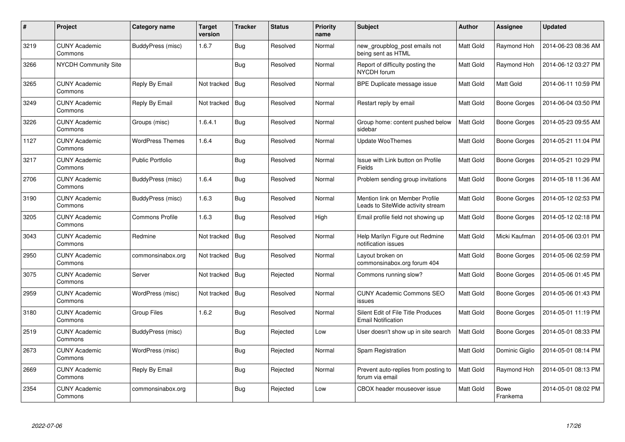| $\#$ | <b>Project</b>                  | Category name           | <b>Target</b><br>version | <b>Tracker</b> | <b>Status</b> | <b>Priority</b><br>name | <b>Subject</b>                                                      | <b>Author</b> | Assignee                | <b>Updated</b>      |
|------|---------------------------------|-------------------------|--------------------------|----------------|---------------|-------------------------|---------------------------------------------------------------------|---------------|-------------------------|---------------------|
| 3219 | <b>CUNY Academic</b><br>Commons | BuddyPress (misc)       | 1.6.7                    | <b>Bug</b>     | Resolved      | Normal                  | new_groupblog_post emails not<br>being sent as HTML                 | Matt Gold     | Raymond Hoh             | 2014-06-23 08:36 AM |
| 3266 | NYCDH Community Site            |                         |                          | <b>Bug</b>     | Resolved      | Normal                  | Report of difficulty posting the<br><b>NYCDH</b> forum              | Matt Gold     | Raymond Hoh             | 2014-06-12 03:27 PM |
| 3265 | <b>CUNY Academic</b><br>Commons | Reply By Email          | Not tracked              | <b>Bug</b>     | Resolved      | Normal                  | BPE Duplicate message issue                                         | Matt Gold     | <b>Matt Gold</b>        | 2014-06-11 10:59 PM |
| 3249 | <b>CUNY Academic</b><br>Commons | Reply By Email          | Not tracked              | Bug            | Resolved      | Normal                  | Restart reply by email                                              | Matt Gold     | Boone Gorges            | 2014-06-04 03:50 PM |
| 3226 | <b>CUNY Academic</b><br>Commons | Groups (misc)           | 1.6.4.1                  | <b>Bug</b>     | Resolved      | Normal                  | Group home: content pushed below<br>sidebar                         | Matt Gold     | Boone Gorges            | 2014-05-23 09:55 AM |
| 1127 | <b>CUNY Academic</b><br>Commons | <b>WordPress Themes</b> | 1.6.4                    | <b>Bug</b>     | Resolved      | Normal                  | <b>Update WooThemes</b>                                             | Matt Gold     | Boone Gorges            | 2014-05-21 11:04 PM |
| 3217 | <b>CUNY Academic</b><br>Commons | Public Portfolio        |                          | <b>Bug</b>     | Resolved      | Normal                  | Issue with Link button on Profile<br>Fields                         | Matt Gold     | Boone Gorges            | 2014-05-21 10:29 PM |
| 2706 | <b>CUNY Academic</b><br>Commons | BuddyPress (misc)       | 1.6.4                    | <b>Bug</b>     | Resolved      | Normal                  | Problem sending group invitations                                   | Matt Gold     | Boone Gorges            | 2014-05-18 11:36 AM |
| 3190 | <b>CUNY Academic</b><br>Commons | BuddyPress (misc)       | 1.6.3                    | <b>Bug</b>     | Resolved      | Normal                  | Mention link on Member Profile<br>Leads to SiteWide activity stream | Matt Gold     | Boone Gorges            | 2014-05-12 02:53 PM |
| 3205 | <b>CUNY Academic</b><br>Commons | Commons Profile         | 1.6.3                    | <b>Bug</b>     | Resolved      | High                    | Email profile field not showing up                                  | Matt Gold     | Boone Gorges            | 2014-05-12 02:18 PM |
| 3043 | <b>CUNY Academic</b><br>Commons | Redmine                 | Not tracked              | <b>Bug</b>     | Resolved      | Normal                  | Help Marilyn Figure out Redmine<br>notification issues              | Matt Gold     | Micki Kaufman           | 2014-05-06 03:01 PM |
| 2950 | <b>CUNY Academic</b><br>Commons | commonsinabox.org       | Not tracked              | Bug            | Resolved      | Normal                  | Layout broken on<br>commonsinabox.org forum 404                     | Matt Gold     | Boone Gorges            | 2014-05-06 02:59 PM |
| 3075 | <b>CUNY Academic</b><br>Commons | Server                  | Not tracked              | <b>Bug</b>     | Rejected      | Normal                  | Commons running slow?                                               | Matt Gold     | Boone Gorges            | 2014-05-06 01:45 PM |
| 2959 | <b>CUNY Academic</b><br>Commons | WordPress (misc)        | Not tracked              | <b>Bug</b>     | Resolved      | Normal                  | <b>CUNY Academic Commons SEO</b><br>issues                          | Matt Gold     | Boone Gorges            | 2014-05-06 01:43 PM |
| 3180 | <b>CUNY Academic</b><br>Commons | Group Files             | 1.6.2                    | Bug            | Resolved      | Normal                  | Silent Edit of File Title Produces<br><b>Email Notification</b>     | Matt Gold     | Boone Gorges            | 2014-05-01 11:19 PM |
| 2519 | <b>CUNY Academic</b><br>Commons | BuddyPress (misc)       |                          | Bug            | Rejected      | Low                     | User doesn't show up in site search                                 | Matt Gold     | Boone Gorges            | 2014-05-01 08:33 PM |
| 2673 | <b>CUNY Academic</b><br>Commons | WordPress (misc)        |                          | <b>Bug</b>     | Rejected      | Normal                  | Spam Registration                                                   | Matt Gold     | Dominic Giglio          | 2014-05-01 08:14 PM |
| 2669 | <b>CUNY Academic</b><br>Commons | Reply By Email          |                          | <b>Bug</b>     | Rejected      | Normal                  | Prevent auto-replies from posting to<br>forum via email             | Matt Gold     | Raymond Hoh             | 2014-05-01 08:13 PM |
| 2354 | <b>CUNY Academic</b><br>Commons | commonsinabox.org       |                          | Bug            | Rejected      | Low                     | CBOX header mouseover issue                                         | Matt Gold     | <b>Bowe</b><br>Frankema | 2014-05-01 08:02 PM |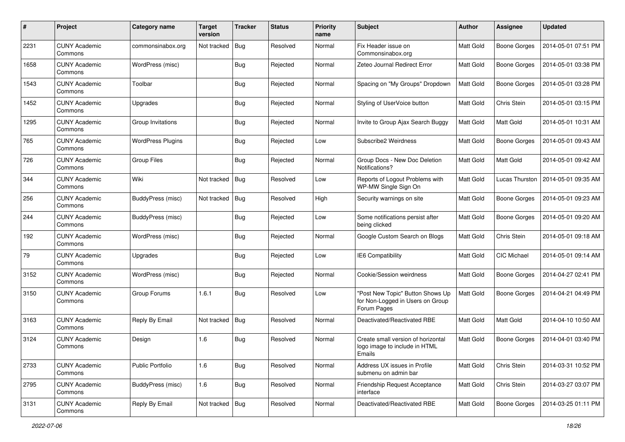| #    | Project                         | Category name            | <b>Target</b><br>version | <b>Tracker</b> | <b>Status</b> | <b>Priority</b><br>name | <b>Subject</b>                                                                      | Author           | Assignee            | <b>Updated</b>      |
|------|---------------------------------|--------------------------|--------------------------|----------------|---------------|-------------------------|-------------------------------------------------------------------------------------|------------------|---------------------|---------------------|
| 2231 | <b>CUNY Academic</b><br>Commons | commonsinabox.org        | Not tracked              | Bug            | Resolved      | Normal                  | Fix Header issue on<br>Commonsinabox.org                                            | Matt Gold        | Boone Gorges        | 2014-05-01 07:51 PM |
| 1658 | <b>CUNY Academic</b><br>Commons | WordPress (misc)         |                          | <b>Bug</b>     | Rejected      | Normal                  | Zeteo Journal Redirect Error                                                        | Matt Gold        | Boone Gorges        | 2014-05-01 03:38 PM |
| 1543 | <b>CUNY Academic</b><br>Commons | Toolbar                  |                          | Bug            | Rejected      | Normal                  | Spacing on "My Groups" Dropdown                                                     | Matt Gold        | Boone Gorges        | 2014-05-01 03:28 PM |
| 1452 | <b>CUNY Academic</b><br>Commons | Upgrades                 |                          | <b>Bug</b>     | Rejected      | Normal                  | Styling of UserVoice button                                                         | <b>Matt Gold</b> | Chris Stein         | 2014-05-01 03:15 PM |
| 1295 | <b>CUNY Academic</b><br>Commons | Group Invitations        |                          | <b>Bug</b>     | Rejected      | Normal                  | Invite to Group Ajax Search Buggy                                                   | <b>Matt Gold</b> | <b>Matt Gold</b>    | 2014-05-01 10:31 AM |
| 765  | <b>CUNY Academic</b><br>Commons | <b>WordPress Plugins</b> |                          | <b>Bug</b>     | Rejected      | Low                     | Subscribe2 Weirdness                                                                | Matt Gold        | <b>Boone Gorges</b> | 2014-05-01 09:43 AM |
| 726  | <b>CUNY Academic</b><br>Commons | <b>Group Files</b>       |                          | Bug            | Rejected      | Normal                  | Group Docs - New Doc Deletion<br>Notifications?                                     | Matt Gold        | <b>Matt Gold</b>    | 2014-05-01 09:42 AM |
| 344  | <b>CUNY Academic</b><br>Commons | Wiki                     | Not tracked              | Bug            | Resolved      | Low                     | Reports of Logout Problems with<br>WP-MW Single Sign On                             | Matt Gold        | Lucas Thurston      | 2014-05-01 09:35 AM |
| 256  | <b>CUNY Academic</b><br>Commons | BuddyPress (misc)        | Not tracked              | <b>Bug</b>     | Resolved      | High                    | Security warnings on site                                                           | Matt Gold        | Boone Gorges        | 2014-05-01 09:23 AM |
| 244  | <b>CUNY Academic</b><br>Commons | BuddyPress (misc)        |                          | Bug            | Rejected      | Low                     | Some notifications persist after<br>being clicked                                   | Matt Gold        | Boone Gorges        | 2014-05-01 09:20 AM |
| 192  | <b>CUNY Academic</b><br>Commons | WordPress (misc)         |                          | <b>Bug</b>     | Rejected      | Normal                  | Google Custom Search on Blogs                                                       | Matt Gold        | Chris Stein         | 2014-05-01 09:18 AM |
| 79   | <b>CUNY Academic</b><br>Commons | Upgrades                 |                          | <b>Bug</b>     | Rejected      | Low                     | <b>IE6 Compatibility</b>                                                            | Matt Gold        | <b>CIC Michael</b>  | 2014-05-01 09:14 AM |
| 3152 | <b>CUNY Academic</b><br>Commons | WordPress (misc)         |                          | <b>Bug</b>     | Rejected      | Normal                  | Cookie/Session weirdness                                                            | Matt Gold        | Boone Gorges        | 2014-04-27 02:41 PM |
| 3150 | <b>CUNY Academic</b><br>Commons | Group Forums             | 1.6.1                    | Bug            | Resolved      | Low                     | "Post New Topic" Button Shows Up<br>for Non-Logged in Users on Group<br>Forum Pages | Matt Gold        | Boone Gorges        | 2014-04-21 04:49 PM |
| 3163 | <b>CUNY Academic</b><br>Commons | Reply By Email           | Not tracked              | Bug            | Resolved      | Normal                  | Deactivated/Reactivated RBE                                                         | Matt Gold        | Matt Gold           | 2014-04-10 10:50 AM |
| 3124 | <b>CUNY Academic</b><br>Commons | Design                   | 1.6                      | Bug            | Resolved      | Normal                  | Create small version of horizontal<br>logo image to include in HTML<br>Emails       | Matt Gold        | Boone Gorges        | 2014-04-01 03:40 PM |
| 2733 | <b>CUNY Academic</b><br>Commons | <b>Public Portfolio</b>  | 1.6                      | Bug            | Resolved      | Normal                  | Address UX issues in Profile<br>submenu on admin bar                                | Matt Gold        | Chris Stein         | 2014-03-31 10:52 PM |
| 2795 | <b>CUNY Academic</b><br>Commons | BuddyPress (misc)        | 1.6                      | <b>Bug</b>     | Resolved      | Normal                  | Friendship Request Acceptance<br>interface                                          | Matt Gold        | Chris Stein         | 2014-03-27 03:07 PM |
| 3131 | <b>CUNY Academic</b><br>Commons | Reply By Email           | Not tracked   Bug        |                | Resolved      | Normal                  | Deactivated/Reactivated RBE                                                         | Matt Gold        | Boone Gorges        | 2014-03-25 01:11 PM |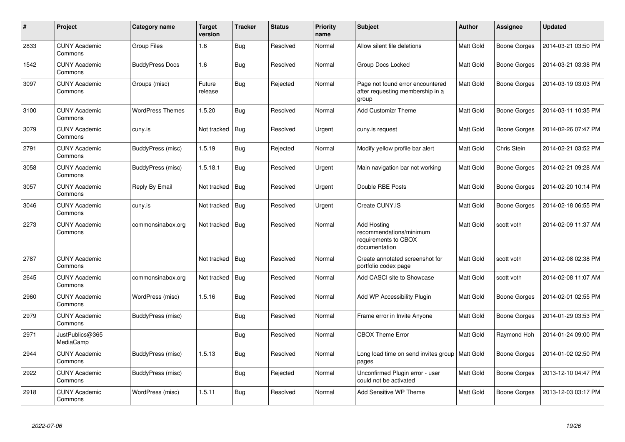| #    | Project                         | Category name           | <b>Target</b><br>version | <b>Tracker</b> | <b>Status</b> | <b>Priority</b><br>name | <b>Subject</b>                                                                         | <b>Author</b>    | Assignee     | <b>Updated</b>      |
|------|---------------------------------|-------------------------|--------------------------|----------------|---------------|-------------------------|----------------------------------------------------------------------------------------|------------------|--------------|---------------------|
| 2833 | <b>CUNY Academic</b><br>Commons | Group Files             | 1.6                      | <b>Bug</b>     | Resolved      | Normal                  | Allow silent file deletions                                                            | Matt Gold        | Boone Gorges | 2014-03-21 03:50 PM |
| 1542 | <b>CUNY Academic</b><br>Commons | <b>BuddyPress Docs</b>  | 1.6                      | <b>Bug</b>     | Resolved      | Normal                  | Group Docs Locked                                                                      | Matt Gold        | Boone Gorges | 2014-03-21 03:38 PM |
| 3097 | <b>CUNY Academic</b><br>Commons | Groups (misc)           | Future<br>release        | <b>Bug</b>     | Rejected      | Normal                  | Page not found error encountered<br>after requesting membership in a<br>group          | Matt Gold        | Boone Gorges | 2014-03-19 03:03 PM |
| 3100 | <b>CUNY Academic</b><br>Commons | <b>WordPress Themes</b> | 1.5.20                   | <b>Bug</b>     | Resolved      | Normal                  | <b>Add Customizr Theme</b>                                                             | Matt Gold        | Boone Gorges | 2014-03-11 10:35 PM |
| 3079 | <b>CUNY Academic</b><br>Commons | cuny.is                 | Not tracked              | Bug            | Resolved      | Urgent                  | cuny.is request                                                                        | Matt Gold        | Boone Gorges | 2014-02-26 07:47 PM |
| 2791 | <b>CUNY Academic</b><br>Commons | BuddyPress (misc)       | 1.5.19                   | <b>Bug</b>     | Rejected      | Normal                  | Modify yellow profile bar alert                                                        | Matt Gold        | Chris Stein  | 2014-02-21 03:52 PM |
| 3058 | <b>CUNY Academic</b><br>Commons | BuddyPress (misc)       | 1.5.18.1                 | Bug            | Resolved      | Urgent                  | Main navigation bar not working                                                        | Matt Gold        | Boone Gorges | 2014-02-21 09:28 AM |
| 3057 | <b>CUNY Academic</b><br>Commons | Reply By Email          | Not tracked              | <b>Bug</b>     | Resolved      | Urgent                  | Double RBE Posts                                                                       | Matt Gold        | Boone Gorges | 2014-02-20 10:14 PM |
| 3046 | <b>CUNY Academic</b><br>Commons | cuny.is                 | Not tracked              | Bug            | Resolved      | Urgent                  | Create CUNY.IS                                                                         | Matt Gold        | Boone Gorges | 2014-02-18 06:55 PM |
| 2273 | <b>CUNY Academic</b><br>Commons | commonsinabox.org       | Not tracked              | <b>Bug</b>     | Resolved      | Normal                  | <b>Add Hosting</b><br>recommendations/minimum<br>requirements to CBOX<br>documentation | Matt Gold        | scott voth   | 2014-02-09 11:37 AM |
| 2787 | <b>CUNY Academic</b><br>Commons |                         | Not tracked              | Bug            | Resolved      | Normal                  | Create annotated screenshot for<br>portfolio codex page                                | Matt Gold        | scott voth   | 2014-02-08 02:38 PM |
| 2645 | <b>CUNY Academic</b><br>Commons | commonsinabox.org       | Not tracked              | Bug            | Resolved      | Normal                  | Add CASCI site to Showcase                                                             | Matt Gold        | scott voth   | 2014-02-08 11:07 AM |
| 2960 | <b>CUNY Academic</b><br>Commons | WordPress (misc)        | 1.5.16                   | <b>Bug</b>     | Resolved      | Normal                  | Add WP Accessibility Plugin                                                            | Matt Gold        | Boone Gorges | 2014-02-01 02:55 PM |
| 2979 | <b>CUNY Academic</b><br>Commons | BuddyPress (misc)       |                          | <b>Bug</b>     | Resolved      | Normal                  | Frame error in Invite Anyone                                                           | Matt Gold        | Boone Gorges | 2014-01-29 03:53 PM |
| 2971 | JustPublics@365<br>MediaCamp    |                         |                          | Bug            | Resolved      | Normal                  | <b>CBOX Theme Error</b>                                                                | <b>Matt Gold</b> | Raymond Hoh  | 2014-01-24 09:00 PM |
| 2944 | <b>CUNY Academic</b><br>Commons | BuddyPress (misc)       | 1.5.13                   | <b>Bug</b>     | Resolved      | Normal                  | Long load time on send invites group   Matt Gold<br>pages                              |                  | Boone Gorges | 2014-01-02 02:50 PM |
| 2922 | <b>CUNY Academic</b><br>Commons | BuddyPress (misc)       |                          | <b>Bug</b>     | Rejected      | Normal                  | Unconfirmed Plugin error - user<br>could not be activated                              | Matt Gold        | Boone Gorges | 2013-12-10 04:47 PM |
| 2918 | <b>CUNY Academic</b><br>Commons | WordPress (misc)        | 1.5.11                   | <b>Bug</b>     | Resolved      | Normal                  | Add Sensitive WP Theme                                                                 | Matt Gold        | Boone Gorges | 2013-12-03 03:17 PM |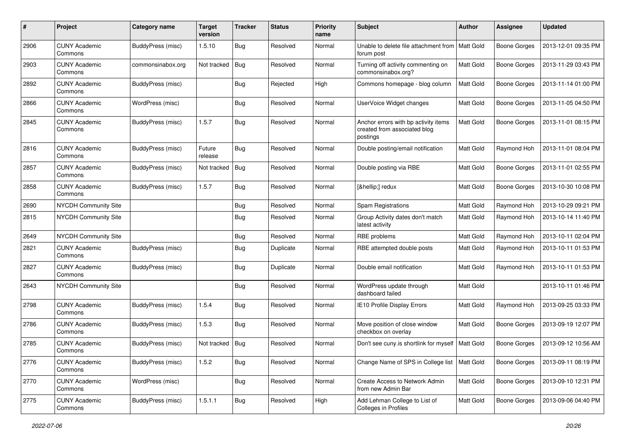| $\#$ | Project                         | Category name            | <b>Target</b><br>version | <b>Tracker</b> | <b>Status</b> | <b>Priority</b><br>name | <b>Subject</b>                                                                   | Author           | Assignee            | <b>Updated</b>      |
|------|---------------------------------|--------------------------|--------------------------|----------------|---------------|-------------------------|----------------------------------------------------------------------------------|------------------|---------------------|---------------------|
| 2906 | <b>CUNY Academic</b><br>Commons | <b>BuddyPress (misc)</b> | 1.5.10                   | <b>Bug</b>     | Resolved      | Normal                  | Unable to delete file attachment from<br>forum post                              | Matt Gold        | Boone Gorges        | 2013-12-01 09:35 PM |
| 2903 | <b>CUNY Academic</b><br>Commons | commonsinabox.org        | Not tracked              | Bug            | Resolved      | Normal                  | Turning off activity commenting on<br>commonsinabox.org?                         | Matt Gold        | Boone Gorges        | 2013-11-29 03:43 PM |
| 2892 | <b>CUNY Academic</b><br>Commons | BuddyPress (misc)        |                          | <b>Bug</b>     | Rejected      | High                    | Commons homepage - blog column                                                   | Matt Gold        | Boone Gorges        | 2013-11-14 01:00 PM |
| 2866 | <b>CUNY Academic</b><br>Commons | WordPress (misc)         |                          | Bug            | Resolved      | Normal                  | UserVoice Widget changes                                                         | Matt Gold        | <b>Boone Gorges</b> | 2013-11-05 04:50 PM |
| 2845 | <b>CUNY Academic</b><br>Commons | BuddyPress (misc)        | 1.5.7                    | Bug            | Resolved      | Normal                  | Anchor errors with bp activity items<br>created from associated blog<br>postings | <b>Matt Gold</b> | Boone Gorges        | 2013-11-01 08:15 PM |
| 2816 | <b>CUNY Academic</b><br>Commons | BuddyPress (misc)        | Future<br>release        | <b>Bug</b>     | Resolved      | Normal                  | Double posting/email notification                                                | <b>Matt Gold</b> | Raymond Hoh         | 2013-11-01 08:04 PM |
| 2857 | <b>CUNY Academic</b><br>Commons | BuddyPress (misc)        | Not tracked              | Bug            | Resolved      | Normal                  | Double posting via RBE                                                           | Matt Gold        | Boone Gorges        | 2013-11-01 02:55 PM |
| 2858 | <b>CUNY Academic</b><br>Commons | BuddyPress (misc)        | 1.5.7                    | Bug            | Resolved      | Normal                  | […] redux                                                                        | Matt Gold        | Boone Gorges        | 2013-10-30 10:08 PM |
| 2690 | NYCDH Community Site            |                          |                          | <b>Bug</b>     | Resolved      | Normal                  | Spam Registrations                                                               | Matt Gold        | Raymond Hoh         | 2013-10-29 09:21 PM |
| 2815 | NYCDH Community Site            |                          |                          | <b>Bug</b>     | Resolved      | Normal                  | Group Activity dates don't match<br>latest activity                              | Matt Gold        | Raymond Hoh         | 2013-10-14 11:40 PM |
| 2649 | NYCDH Community Site            |                          |                          | Bug            | Resolved      | Normal                  | RBE problems                                                                     | Matt Gold        | Raymond Hoh         | 2013-10-11 02:04 PM |
| 2821 | <b>CUNY Academic</b><br>Commons | BuddyPress (misc)        |                          | <b>Bug</b>     | Duplicate     | Normal                  | RBE attempted double posts                                                       | Matt Gold        | Raymond Hoh         | 2013-10-11 01:53 PM |
| 2827 | <b>CUNY Academic</b><br>Commons | BuddyPress (misc)        |                          | Bug            | Duplicate     | Normal                  | Double email notification                                                        | Matt Gold        | Raymond Hoh         | 2013-10-11 01:53 PM |
| 2643 | NYCDH Community Site            |                          |                          | Bug            | Resolved      | Normal                  | WordPress update through<br>dashboard failed                                     | Matt Gold        |                     | 2013-10-11 01:46 PM |
| 2798 | <b>CUNY Academic</b><br>Commons | BuddyPress (misc)        | 1.5.4                    | <b>Bug</b>     | Resolved      | Normal                  | IE10 Profile Display Errors                                                      | Matt Gold        | Raymond Hoh         | 2013-09-25 03:33 PM |
| 2786 | <b>CUNY Academic</b><br>Commons | BuddyPress (misc)        | 1.5.3                    | Bug            | Resolved      | Normal                  | Move position of close window<br>checkbox on overlay                             | Matt Gold        | Boone Gorges        | 2013-09-19 12:07 PM |
| 2785 | <b>CUNY Academic</b><br>Commons | BuddyPress (misc)        | Not tracked              | Bug            | Resolved      | Normal                  | Don't see cuny.is shortlink for myself                                           | Matt Gold        | Boone Gorges        | 2013-09-12 10:56 AM |
| 2776 | <b>CUNY Academic</b><br>Commons | <b>BuddyPress (misc)</b> | 1.5.2                    | <b>Bug</b>     | Resolved      | Normal                  | Change Name of SPS in College list   Matt Gold                                   |                  | Boone Gorges        | 2013-09-11 08:19 PM |
| 2770 | <b>CUNY Academic</b><br>Commons | WordPress (misc)         |                          | Bug            | Resolved      | Normal                  | Create Access to Network Admin<br>from new Admin Bar                             | Matt Gold        | Boone Gorges        | 2013-09-10 12:31 PM |
| 2775 | <b>CUNY Academic</b><br>Commons | BuddyPress (misc)        | 1.5.1.1                  | Bug            | Resolved      | High                    | Add Lehman College to List of<br>Colleges in Profiles                            | Matt Gold        | Boone Gorges        | 2013-09-06 04:40 PM |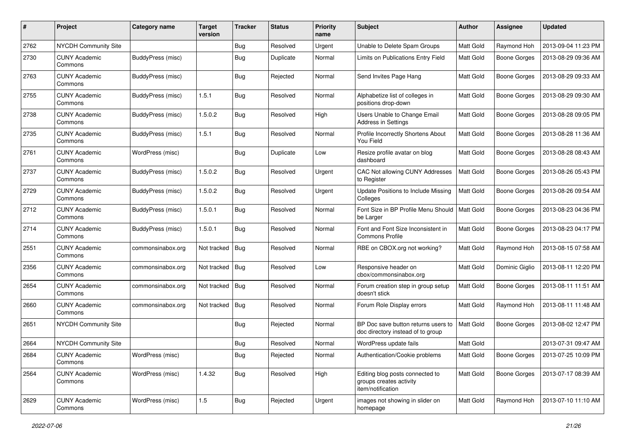| #    | Project                         | Category name     | <b>Target</b><br>version | <b>Tracker</b> | <b>Status</b> | <b>Priority</b><br>name | <b>Subject</b>                                                                  | Author    | Assignee            | <b>Updated</b>      |
|------|---------------------------------|-------------------|--------------------------|----------------|---------------|-------------------------|---------------------------------------------------------------------------------|-----------|---------------------|---------------------|
| 2762 | NYCDH Community Site            |                   |                          | Bug            | Resolved      | Urgent                  | Unable to Delete Spam Groups                                                    | Matt Gold | Raymond Hoh         | 2013-09-04 11:23 PM |
| 2730 | <b>CUNY Academic</b><br>Commons | BuddyPress (misc) |                          | <b>Bug</b>     | Duplicate     | Normal                  | Limits on Publications Entry Field                                              | Matt Gold | Boone Gorges        | 2013-08-29 09:36 AM |
| 2763 | <b>CUNY Academic</b><br>Commons | BuddyPress (misc) |                          | <b>Bug</b>     | Rejected      | Normal                  | Send Invites Page Hang                                                          | Matt Gold | Boone Gorges        | 2013-08-29 09:33 AM |
| 2755 | <b>CUNY Academic</b><br>Commons | BuddyPress (misc) | 1.5.1                    | Bug            | Resolved      | Normal                  | Alphabetize list of colleges in<br>positions drop-down                          | Matt Gold | <b>Boone Gorges</b> | 2013-08-29 09:30 AM |
| 2738 | <b>CUNY Academic</b><br>Commons | BuddyPress (misc) | 1.5.0.2                  | Bug            | Resolved      | High                    | <b>Users Unable to Change Email</b><br><b>Address in Settings</b>               | Matt Gold | <b>Boone Gorges</b> | 2013-08-28 09:05 PM |
| 2735 | <b>CUNY Academic</b><br>Commons | BuddyPress (misc) | 1.5.1                    | <b>Bug</b>     | Resolved      | Normal                  | Profile Incorrectly Shortens About<br>You Field                                 | Matt Gold | <b>Boone Gorges</b> | 2013-08-28 11:36 AM |
| 2761 | <b>CUNY Academic</b><br>Commons | WordPress (misc)  |                          | <b>Bug</b>     | Duplicate     | Low                     | Resize profile avatar on blog<br>dashboard                                      | Matt Gold | Boone Gorges        | 2013-08-28 08:43 AM |
| 2737 | <b>CUNY Academic</b><br>Commons | BuddyPress (misc) | 1.5.0.2                  | <b>Bug</b>     | Resolved      | Urgent                  | CAC Not allowing CUNY Addresses<br>to Register                                  | Matt Gold | <b>Boone Gorges</b> | 2013-08-26 05:43 PM |
| 2729 | CUNY Academic<br>Commons        | BuddyPress (misc) | 1.5.0.2                  | Bug            | Resolved      | Urgent                  | Update Positions to Include Missing<br>Colleges                                 | Matt Gold | Boone Gorges        | 2013-08-26 09:54 AM |
| 2712 | <b>CUNY Academic</b><br>Commons | BuddyPress (misc) | 1.5.0.1                  | <b>Bug</b>     | Resolved      | Normal                  | Font Size in BP Profile Menu Should<br>be Larger                                | Matt Gold | <b>Boone Gorges</b> | 2013-08-23 04:36 PM |
| 2714 | <b>CUNY Academic</b><br>Commons | BuddyPress (misc) | 1.5.0.1                  | <b>Bug</b>     | Resolved      | Normal                  | Font and Font Size Inconsistent in<br><b>Commons Profile</b>                    | Matt Gold | <b>Boone Gorges</b> | 2013-08-23 04:17 PM |
| 2551 | <b>CUNY Academic</b><br>Commons | commonsinabox.org | Not tracked              | <b>Bug</b>     | Resolved      | Normal                  | RBE on CBOX.org not working?                                                    | Matt Gold | Raymond Hoh         | 2013-08-15 07:58 AM |
| 2356 | <b>CUNY Academic</b><br>Commons | commonsinabox.org | Not tracked              | <b>Bug</b>     | Resolved      | Low                     | Responsive header on<br>cbox/commonsinabox.org                                  | Matt Gold | Dominic Giglio      | 2013-08-11 12:20 PM |
| 2654 | <b>CUNY Academic</b><br>Commons | commonsinabox.org | Not tracked              | Bug            | Resolved      | Normal                  | Forum creation step in group setup<br>doesn't stick                             | Matt Gold | Boone Gorges        | 2013-08-11 11:51 AM |
| 2660 | CUNY Academic<br>Commons        | commonsinabox.org | Not tracked              | <b>Bug</b>     | Resolved      | Normal                  | Forum Role Display errors                                                       | Matt Gold | Raymond Hoh         | 2013-08-11 11:48 AM |
| 2651 | NYCDH Community Site            |                   |                          | <b>Bug</b>     | Rejected      | Normal                  | BP Doc save button returns users to<br>doc directory instead of to group        | Matt Gold | <b>Boone Gorges</b> | 2013-08-02 12:47 PM |
| 2664 | NYCDH Community Site            |                   |                          | <b>Bug</b>     | Resolved      | Normal                  | WordPress update fails                                                          | Matt Gold |                     | 2013-07-31 09:47 AM |
| 2684 | <b>CUNY Academic</b><br>Commons | WordPress (misc)  |                          | Bug            | Rejected      | Normal                  | Authentication/Cookie problems                                                  | Matt Gold | Boone Gorges        | 2013-07-25 10:09 PM |
| 2564 | <b>CUNY Academic</b><br>Commons | WordPress (misc)  | 1.4.32                   | <b>Bug</b>     | Resolved      | High                    | Editing blog posts connected to<br>groups creates activity<br>item/notification | Matt Gold | <b>Boone Gorges</b> | 2013-07-17 08:39 AM |
| 2629 | <b>CUNY Academic</b><br>Commons | WordPress (misc)  | 1.5                      | <b>Bug</b>     | Rejected      | Urgent                  | images not showing in slider on<br>homepage                                     | Matt Gold | Raymond Hoh         | 2013-07-10 11:10 AM |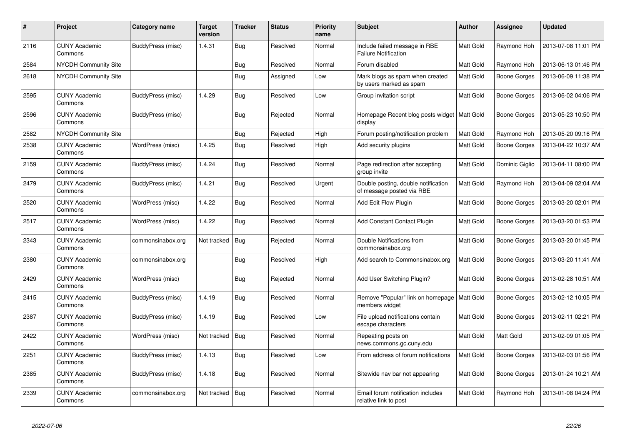| $\#$ | Project                         | Category name     | <b>Target</b><br>version | <b>Tracker</b> | <b>Status</b> | <b>Priority</b><br>name | <b>Subject</b>                                                   | <b>Author</b>    | Assignee            | <b>Updated</b>      |
|------|---------------------------------|-------------------|--------------------------|----------------|---------------|-------------------------|------------------------------------------------------------------|------------------|---------------------|---------------------|
| 2116 | <b>CUNY Academic</b><br>Commons | BuddyPress (misc) | 1.4.31                   | Bug            | Resolved      | Normal                  | Include failed message in RBE<br><b>Failure Notification</b>     | Matt Gold        | Raymond Hoh         | 2013-07-08 11:01 PM |
| 2584 | NYCDH Community Site            |                   |                          | <b>Bug</b>     | Resolved      | Normal                  | Forum disabled                                                   | Matt Gold        | Raymond Hoh         | 2013-06-13 01:46 PM |
| 2618 | <b>NYCDH Community Site</b>     |                   |                          | Bug            | Assigned      | Low                     | Mark blogs as spam when created<br>by users marked as spam       | <b>Matt Gold</b> | Boone Gorges        | 2013-06-09 11:38 PM |
| 2595 | <b>CUNY Academic</b><br>Commons | BuddyPress (misc) | 1.4.29                   | Bug            | Resolved      | Low                     | Group invitation script                                          | <b>Matt Gold</b> | Boone Gorges        | 2013-06-02 04:06 PM |
| 2596 | <b>CUNY Academic</b><br>Commons | BuddyPress (misc) |                          | <b>Bug</b>     | Rejected      | Normal                  | Homepage Recent blog posts widget<br>display                     | Matt Gold        | Boone Gorges        | 2013-05-23 10:50 PM |
| 2582 | <b>NYCDH Community Site</b>     |                   |                          | <b>Bug</b>     | Rejected      | High                    | Forum posting/notification problem                               | Matt Gold        | Raymond Hoh         | 2013-05-20 09:16 PM |
| 2538 | <b>CUNY Academic</b><br>Commons | WordPress (misc)  | 1.4.25                   | <b>Bug</b>     | Resolved      | High                    | Add security plugins                                             | Matt Gold        | Boone Gorges        | 2013-04-22 10:37 AM |
| 2159 | <b>CUNY Academic</b><br>Commons | BuddyPress (misc) | 1.4.24                   | Bug            | Resolved      | Normal                  | Page redirection after accepting<br>group invite                 | Matt Gold        | Dominic Giglio      | 2013-04-11 08:00 PM |
| 2479 | <b>CUNY Academic</b><br>Commons | BuddyPress (misc) | 1.4.21                   | Bug            | Resolved      | Urgent                  | Double posting, double notification<br>of message posted via RBE | Matt Gold        | Raymond Hoh         | 2013-04-09 02:04 AM |
| 2520 | <b>CUNY Academic</b><br>Commons | WordPress (misc)  | 1.4.22                   | <b>Bug</b>     | Resolved      | Normal                  | Add Edit Flow Plugin                                             | Matt Gold        | Boone Gorges        | 2013-03-20 02:01 PM |
| 2517 | <b>CUNY Academic</b><br>Commons | WordPress (misc)  | 1.4.22                   | <b>Bug</b>     | Resolved      | Normal                  | <b>Add Constant Contact Plugin</b>                               | Matt Gold        | <b>Boone Gorges</b> | 2013-03-20 01:53 PM |
| 2343 | <b>CUNY Academic</b><br>Commons | commonsinabox.org | Not tracked              | Bug            | Rejected      | Normal                  | Double Notifications from<br>commonsinabox.org                   | Matt Gold        | Boone Gorges        | 2013-03-20 01:45 PM |
| 2380 | <b>CUNY Academic</b><br>Commons | commonsinabox.org |                          | Bug            | Resolved      | High                    | Add search to Commonsinabox.org                                  | Matt Gold        | Boone Gorges        | 2013-03-20 11:41 AM |
| 2429 | <b>CUNY Academic</b><br>Commons | WordPress (misc)  |                          | <b>Bug</b>     | Rejected      | Normal                  | Add User Switching Plugin?                                       | Matt Gold        | Boone Gorges        | 2013-02-28 10:51 AM |
| 2415 | <b>CUNY Academic</b><br>Commons | BuddyPress (misc) | 1.4.19                   | <b>Bug</b>     | Resolved      | Normal                  | Remove "Popular" link on homepage<br>members widget              | Matt Gold        | Boone Gorges        | 2013-02-12 10:05 PM |
| 2387 | <b>CUNY Academic</b><br>Commons | BuddyPress (misc) | 1.4.19                   | <b>Bug</b>     | Resolved      | Low                     | File upload notifications contain<br>escape characters           | Matt Gold        | Boone Gorges        | 2013-02-11 02:21 PM |
| 2422 | <b>CUNY Academic</b><br>Commons | WordPress (misc)  | Not tracked              | <b>Bug</b>     | Resolved      | Normal                  | Repeating posts on<br>news.commons.gc.cuny.edu                   | Matt Gold        | Matt Gold           | 2013-02-09 01:05 PM |
| 2251 | <b>CUNY Academic</b><br>Commons | BuddyPress (misc) | 1.4.13                   | Bug            | Resolved      | Low                     | From address of forum notifications                              | Matt Gold        | <b>Boone Gorges</b> | 2013-02-03 01:56 PM |
| 2385 | <b>CUNY Academic</b><br>Commons | BuddyPress (misc) | 1.4.18                   | Bug            | Resolved      | Normal                  | Sitewide nav bar not appearing                                   | Matt Gold        | Boone Gorges        | 2013-01-24 10:21 AM |
| 2339 | <b>CUNY Academic</b><br>Commons | commonsinabox.org | Not tracked              | Bug            | Resolved      | Normal                  | Email forum notification includes<br>relative link to post       | Matt Gold        | Raymond Hoh         | 2013-01-08 04:24 PM |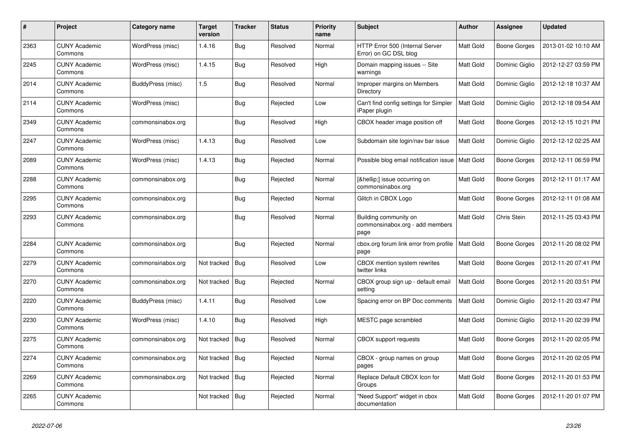| #    | Project                         | Category name     | <b>Target</b><br>version | <b>Tracker</b> | <b>Status</b> | <b>Priority</b><br>name | <b>Subject</b>                                                   | <b>Author</b>    | Assignee       | <b>Updated</b>      |
|------|---------------------------------|-------------------|--------------------------|----------------|---------------|-------------------------|------------------------------------------------------------------|------------------|----------------|---------------------|
| 2363 | <b>CUNY Academic</b><br>Commons | WordPress (misc)  | 1.4.16                   | <b>Bug</b>     | Resolved      | Normal                  | HTTP Error 500 (Internal Server<br>Error) on GC DSL blog         | Matt Gold        | Boone Gorges   | 2013-01-02 10:10 AM |
| 2245 | <b>CUNY Academic</b><br>Commons | WordPress (misc)  | 1.4.15                   | <b>Bug</b>     | Resolved      | High                    | Domain mapping issues -- Site<br>warnings                        | Matt Gold        | Dominic Giglio | 2012-12-27 03:59 PM |
| 2014 | <b>CUNY Academic</b><br>Commons | BuddyPress (misc) | 1.5                      | Bug            | Resolved      | Normal                  | Improper margins on Members<br>Directory                         | Matt Gold        | Dominic Giglio | 2012-12-18 10:37 AM |
| 2114 | <b>CUNY Academic</b><br>Commons | WordPress (misc)  |                          | <b>Bug</b>     | Rejected      | Low                     | Can't find config settings for Simpler<br>iPaper plugin          | <b>Matt Gold</b> | Dominic Giglio | 2012-12-18 09:54 AM |
| 2349 | <b>CUNY Academic</b><br>Commons | commonsinabox.org |                          | <b>Bug</b>     | Resolved      | High                    | CBOX header image position off                                   | Matt Gold        | Boone Gorges   | 2012-12-15 10:21 PM |
| 2247 | <b>CUNY Academic</b><br>Commons | WordPress (misc)  | 1.4.13                   | Bug            | Resolved      | Low                     | Subdomain site login/nav bar issue                               | Matt Gold        | Dominic Giglio | 2012-12-12 02:25 AM |
| 2089 | <b>CUNY Academic</b><br>Commons | WordPress (misc)  | 1.4.13                   | <b>Bug</b>     | Rejected      | Normal                  | Possible blog email notification issue                           | Matt Gold        | Boone Gorges   | 2012-12-11 06:59 PM |
| 2288 | CUNY Academic<br>Commons        | commonsinabox.org |                          | <b>Bug</b>     | Rejected      | Normal                  | […] issue occurring on<br>commonsinabox.org                      | Matt Gold        | Boone Gorges   | 2012-12-11 01:17 AM |
| 2295 | <b>CUNY Academic</b><br>Commons | commonsinabox.org |                          | Bug            | Rejected      | Normal                  | Glitch in CBOX Logo                                              | Matt Gold        | Boone Gorges   | 2012-12-11 01:08 AM |
| 2293 | <b>CUNY Academic</b><br>Commons | commonsinabox.org |                          | <b>Bug</b>     | Resolved      | Normal                  | Building community on<br>commonsinabox.org - add members<br>page | Matt Gold        | Chris Stein    | 2012-11-25 03:43 PM |
| 2284 | <b>CUNY Academic</b><br>Commons | commonsinabox.org |                          | <b>Bug</b>     | Rejected      | Normal                  | cbox.org forum link error from profile<br>page                   | Matt Gold        | Boone Gorges   | 2012-11-20 08:02 PM |
| 2279 | <b>CUNY Academic</b><br>Commons | commonsinabox.org | Not tracked   Bug        |                | Resolved      | Low                     | CBOX mention system rewrites<br>twitter links                    | Matt Gold        | Boone Gorges   | 2012-11-20 07:41 PM |
| 2270 | <b>CUNY Academic</b><br>Commons | commonsinabox.org | Not tracked              | <b>Bug</b>     | Rejected      | Normal                  | CBOX group sign up - default email<br>setting                    | Matt Gold        | Boone Gorges   | 2012-11-20 03:51 PM |
| 2220 | <b>CUNY Academic</b><br>Commons | BuddyPress (misc) | 1.4.11                   | Bug            | Resolved      | Low                     | Spacing error on BP Doc comments                                 | Matt Gold        | Dominic Giglio | 2012-11-20 03:47 PM |
| 2230 | <b>CUNY Academic</b><br>Commons | WordPress (misc)  | 1.4.10                   | <b>Bug</b>     | Resolved      | High                    | MESTC page scrambled                                             | Matt Gold        | Dominic Giglio | 2012-11-20 02:39 PM |
| 2275 | <b>CUNY Academic</b><br>Commons | commonsinabox.org | Not tracked              | Bug            | Resolved      | Normal                  | CBOX support requests                                            | Matt Gold        | Boone Gorges   | 2012-11-20 02:05 PM |
| 2274 | CUNY Academic<br>Commons        | commonsinabox.org | Not tracked Bug          |                | Rejected      | Normal                  | CBOX - group names on group<br>pages                             | Matt Gold        | Boone Gorges   | 2012-11-20 02:05 PM |
| 2269 | <b>CUNY Academic</b><br>Commons | commonsinabox.org | Not tracked              | Bug            | Rejected      | Normal                  | Replace Default CBOX Icon for<br>Groups                          | Matt Gold        | Boone Gorges   | 2012-11-20 01:53 PM |
| 2265 | <b>CUNY Academic</b><br>Commons |                   | Not tracked   Bug        |                | Rejected      | Normal                  | 'Need Support" widget in cbox<br>documentation                   | Matt Gold        | Boone Gorges   | 2012-11-20 01:07 PM |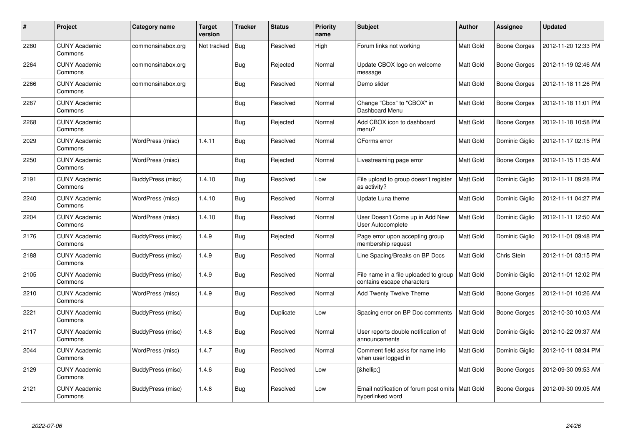| $\#$ | Project                         | Category name     | Target<br>version | <b>Tracker</b> | <b>Status</b> | <b>Priority</b><br>name | <b>Subject</b>                                                         | <b>Author</b>    | Assignee            | <b>Updated</b>      |
|------|---------------------------------|-------------------|-------------------|----------------|---------------|-------------------------|------------------------------------------------------------------------|------------------|---------------------|---------------------|
| 2280 | <b>CUNY Academic</b><br>Commons | commonsinabox.org | Not tracked       | <b>Bug</b>     | Resolved      | High                    | Forum links not working                                                | Matt Gold        | Boone Gorges        | 2012-11-20 12:33 PM |
| 2264 | <b>CUNY Academic</b><br>Commons | commonsinabox.org |                   | <b>Bug</b>     | Rejected      | Normal                  | Update CBOX logo on welcome<br>message                                 | Matt Gold        | Boone Gorges        | 2012-11-19 02:46 AM |
| 2266 | <b>CUNY Academic</b><br>Commons | commonsinabox.org |                   | <b>Bug</b>     | Resolved      | Normal                  | Demo slider                                                            | Matt Gold        | <b>Boone Gorges</b> | 2012-11-18 11:26 PM |
| 2267 | <b>CUNY Academic</b><br>Commons |                   |                   | <b>Bug</b>     | Resolved      | Normal                  | Change "Cbox" to "CBOX" in<br>Dashboard Menu                           | Matt Gold        | Boone Gorges        | 2012-11-18 11:01 PM |
| 2268 | <b>CUNY Academic</b><br>Commons |                   |                   | Bug            | Rejected      | Normal                  | Add CBOX icon to dashboard<br>menu?                                    | Matt Gold        | Boone Gorges        | 2012-11-18 10:58 PM |
| 2029 | <b>CUNY Academic</b><br>Commons | WordPress (misc)  | 1.4.11            | <b>Bug</b>     | Resolved      | Normal                  | CForms error                                                           | Matt Gold        | Dominic Giglio      | 2012-11-17 02:15 PM |
| 2250 | <b>CUNY Academic</b><br>Commons | WordPress (misc)  |                   | <b>Bug</b>     | Rejected      | Normal                  | Livestreaming page error                                               | Matt Gold        | Boone Gorges        | 2012-11-15 11:35 AM |
| 2191 | <b>CUNY Academic</b><br>Commons | BuddyPress (misc) | 1.4.10            | <b>Bug</b>     | Resolved      | Low                     | File upload to group doesn't register<br>as activity?                  | Matt Gold        | Dominic Giglio      | 2012-11-11 09:28 PM |
| 2240 | <b>CUNY Academic</b><br>Commons | WordPress (misc)  | 1.4.10            | Bug            | Resolved      | Normal                  | Update Luna theme                                                      | Matt Gold        | Dominic Giglio      | 2012-11-11 04:27 PM |
| 2204 | <b>CUNY Academic</b><br>Commons | WordPress (misc)  | 1.4.10            | <b>Bug</b>     | Resolved      | Normal                  | User Doesn't Come up in Add New<br>User Autocomplete                   | Matt Gold        | Dominic Giglio      | 2012-11-11 12:50 AM |
| 2176 | <b>CUNY Academic</b><br>Commons | BuddyPress (misc) | 1.4.9             | Bug            | Rejected      | Normal                  | Page error upon accepting group<br>membership request                  | Matt Gold        | Dominic Giglio      | 2012-11-01 09:48 PM |
| 2188 | <b>CUNY Academic</b><br>Commons | BuddyPress (misc) | 1.4.9             | <b>Bug</b>     | Resolved      | Normal                  | Line Spacing/Breaks on BP Docs                                         | Matt Gold        | Chris Stein         | 2012-11-01 03:15 PM |
| 2105 | <b>CUNY Academic</b><br>Commons | BuddyPress (misc) | 1.4.9             | Bug            | Resolved      | Normal                  | File name in a file uploaded to group<br>contains escape characters    | <b>Matt Gold</b> | Dominic Giglio      | 2012-11-01 12:02 PM |
| 2210 | <b>CUNY Academic</b><br>Commons | WordPress (misc)  | 1.4.9             | <b>Bug</b>     | Resolved      | Normal                  | Add Twenty Twelve Theme                                                | Matt Gold        | Boone Gorges        | 2012-11-01 10:26 AM |
| 2221 | <b>CUNY Academic</b><br>Commons | BuddyPress (misc) |                   | Bug            | Duplicate     | Low                     | Spacing error on BP Doc comments                                       | Matt Gold        | Boone Gorges        | 2012-10-30 10:03 AM |
| 2117 | <b>CUNY Academic</b><br>Commons | BuddyPress (misc) | 1.4.8             | <b>Bug</b>     | Resolved      | Normal                  | User reports double notification of<br>announcements                   | <b>Matt Gold</b> | Dominic Giglio      | 2012-10-22 09:37 AM |
| 2044 | <b>CUNY Academic</b><br>Commons | WordPress (misc)  | 1.4.7             | Bug            | Resolved      | Normal                  | Comment field asks for name info<br>when user logged in                | Matt Gold        | Dominic Giglio      | 2012-10-11 08:34 PM |
| 2129 | <b>CUNY Academic</b><br>Commons | BuddyPress (misc) | 1.4.6             | <b>Bug</b>     | Resolved      | Low                     | […]                                                                    | Matt Gold        | Boone Gorges        | 2012-09-30 09:53 AM |
| 2121 | <b>CUNY Academic</b><br>Commons | BuddyPress (misc) | 1.4.6             | <b>Bug</b>     | Resolved      | Low                     | Email notification of forum post omits   Matt Gold<br>hyperlinked word |                  | Boone Gorges        | 2012-09-30 09:05 AM |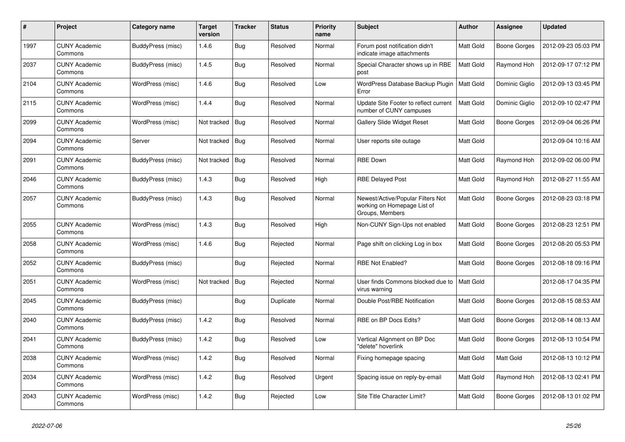| #    | Project                         | Category name     | <b>Target</b><br>version | <b>Tracker</b> | <b>Status</b> | <b>Priority</b><br>name | <b>Subject</b>                                                                      | Author           | Assignee       | <b>Updated</b>      |
|------|---------------------------------|-------------------|--------------------------|----------------|---------------|-------------------------|-------------------------------------------------------------------------------------|------------------|----------------|---------------------|
| 1997 | <b>CUNY Academic</b><br>Commons | BuddyPress (misc) | 1.4.6                    | <b>Bug</b>     | Resolved      | Normal                  | Forum post notification didn't<br>indicate image attachments                        | Matt Gold        | Boone Gorges   | 2012-09-23 05:03 PM |
| 2037 | <b>CUNY Academic</b><br>Commons | BuddyPress (misc) | 1.4.5                    | <b>Bug</b>     | Resolved      | Normal                  | Special Character shows up in RBE<br>post                                           | Matt Gold        | Raymond Hoh    | 2012-09-17 07:12 PM |
| 2104 | <b>CUNY Academic</b><br>Commons | WordPress (misc)  | 1.4.6                    | <b>Bug</b>     | Resolved      | Low                     | WordPress Database Backup Plugin<br>Error                                           | <b>Matt Gold</b> | Dominic Giglio | 2012-09-13 03:45 PM |
| 2115 | <b>CUNY Academic</b><br>Commons | WordPress (misc)  | 1.4.4                    | <b>Bug</b>     | Resolved      | Normal                  | Update Site Footer to reflect current<br>number of CUNY campuses                    | Matt Gold        | Dominic Giglio | 2012-09-10 02:47 PM |
| 2099 | <b>CUNY Academic</b><br>Commons | WordPress (misc)  | Not tracked              | <b>Bug</b>     | Resolved      | Normal                  | <b>Gallery Slide Widget Reset</b>                                                   | Matt Gold        | Boone Gorges   | 2012-09-04 06:26 PM |
| 2094 | <b>CUNY Academic</b><br>Commons | Server            | Not tracked              | Bug            | Resolved      | Normal                  | User reports site outage                                                            | Matt Gold        |                | 2012-09-04 10:16 AM |
| 2091 | <b>CUNY Academic</b><br>Commons | BuddyPress (misc) | Not tracked              | Bug            | Resolved      | Normal                  | <b>RBE Down</b>                                                                     | Matt Gold        | Raymond Hoh    | 2012-09-02 06:00 PM |
| 2046 | <b>CUNY Academic</b><br>Commons | BuddyPress (misc) | 1.4.3                    | Bug            | Resolved      | High                    | <b>RBE Delayed Post</b>                                                             | Matt Gold        | Raymond Hoh    | 2012-08-27 11:55 AM |
| 2057 | CUNY Academic<br>Commons        | BuddyPress (misc) | 1.4.3                    | <b>Bug</b>     | Resolved      | Normal                  | Newest/Active/Popular Filters Not<br>working on Homepage List of<br>Groups, Members | Matt Gold        | Boone Gorges   | 2012-08-23 03:18 PM |
| 2055 | <b>CUNY Academic</b><br>Commons | WordPress (misc)  | 1.4.3                    | Bug            | Resolved      | High                    | Non-CUNY Sign-Ups not enabled                                                       | Matt Gold        | Boone Gorges   | 2012-08-23 12:51 PM |
| 2058 | <b>CUNY Academic</b><br>Commons | WordPress (misc)  | 1.4.6                    | Bug            | Rejected      | Normal                  | Page shift on clicking Log in box                                                   | Matt Gold        | Boone Gorges   | 2012-08-20 05:53 PM |
| 2052 | <b>CUNY Academic</b><br>Commons | BuddyPress (misc) |                          | <b>Bug</b>     | Rejected      | Normal                  | <b>RBE Not Enabled?</b>                                                             | Matt Gold        | Boone Gorges   | 2012-08-18 09:16 PM |
| 2051 | <b>CUNY Academic</b><br>Commons | WordPress (misc)  | Not tracked              | <b>Bug</b>     | Rejected      | Normal                  | User finds Commons blocked due to<br>virus warning                                  | <b>Matt Gold</b> |                | 2012-08-17 04:35 PM |
| 2045 | <b>CUNY Academic</b><br>Commons | BuddyPress (misc) |                          | Bug            | Duplicate     | Normal                  | Double Post/RBE Notification                                                        | Matt Gold        | Boone Gorges   | 2012-08-15 08:53 AM |
| 2040 | <b>CUNY Academic</b><br>Commons | BuddyPress (misc) | 1.4.2                    | Bug            | Resolved      | Normal                  | RBE on BP Docs Edits?                                                               | <b>Matt Gold</b> | Boone Gorges   | 2012-08-14 08:13 AM |
| 2041 | <b>CUNY Academic</b><br>Commons | BuddyPress (misc) | 1.4.2                    | Bug            | Resolved      | Low                     | Vertical Alignment on BP Doc<br>'delete" hoverlink                                  | Matt Gold        | Boone Gorges   | 2012-08-13 10:54 PM |
| 2038 | <b>CUNY Academic</b><br>Commons | WordPress (misc)  | 1.4.2                    | <b>Bug</b>     | Resolved      | Normal                  | Fixing homepage spacing                                                             | Matt Gold        | Matt Gold      | 2012-08-13 10:12 PM |
| 2034 | <b>CUNY Academic</b><br>Commons | WordPress (misc)  | 1.4.2                    | <b>Bug</b>     | Resolved      | Urgent                  | Spacing issue on reply-by-email                                                     | Matt Gold        | Raymond Hoh    | 2012-08-13 02:41 PM |
| 2043 | <b>CUNY Academic</b><br>Commons | WordPress (misc)  | 1.4.2                    | <b>Bug</b>     | Rejected      | Low                     | Site Title Character Limit?                                                         | Matt Gold        | Boone Gorges   | 2012-08-13 01:02 PM |